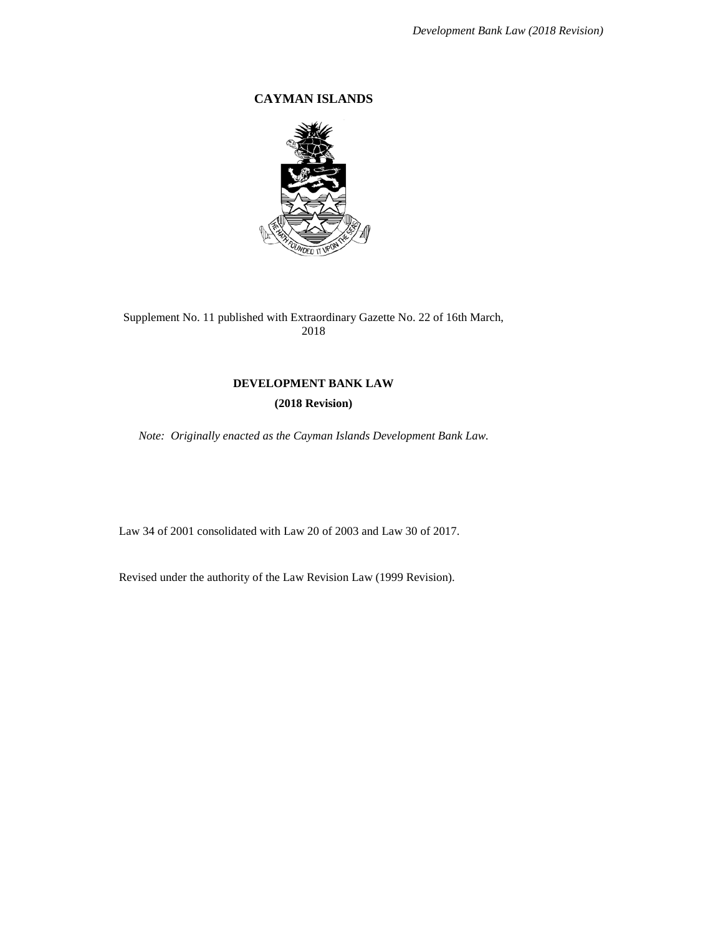# **CAYMAN ISLANDS**



Supplement No. 11 published with Extraordinary Gazette No. 22 of 16th March, 2018

# **DEVELOPMENT BANK LAW**

# **(2018 Revision)**

*Note: Originally enacted as the Cayman Islands Development Bank Law.*

Law 34 of 2001 consolidated with Law 20 of 2003 and Law 30 of 2017.

Revised under the authority of the Law Revision Law (1999 Revision).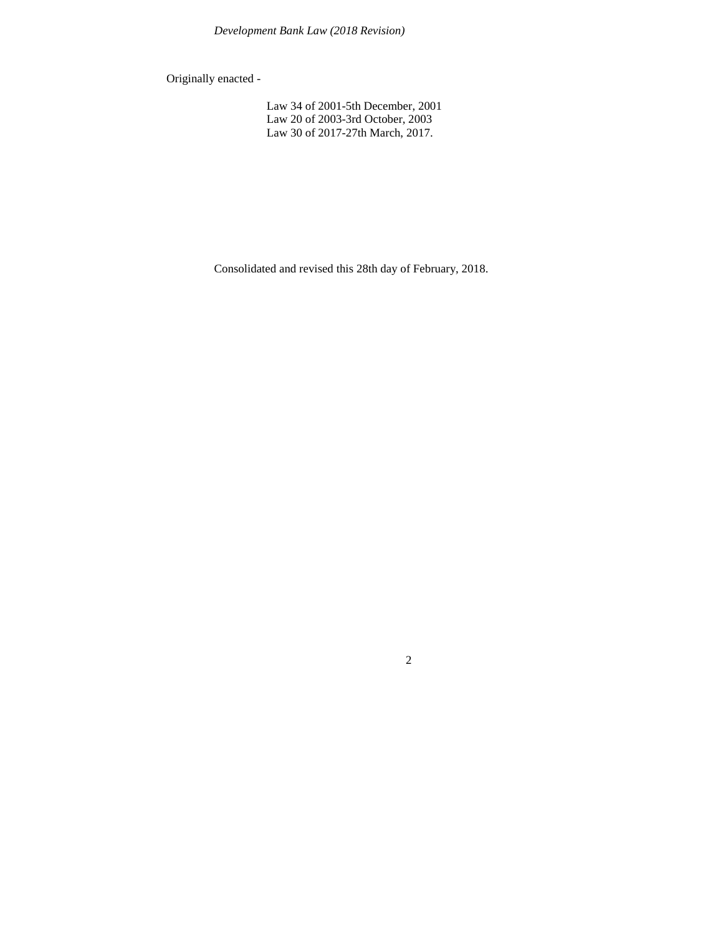Originally enacted -

Law 34 of 2001-5th December, 2001 Law 20 of 2003-3rd October, 2003 Law 30 of 2017-27th March, 2017.

Consolidated and revised this 28th day of February, 2018.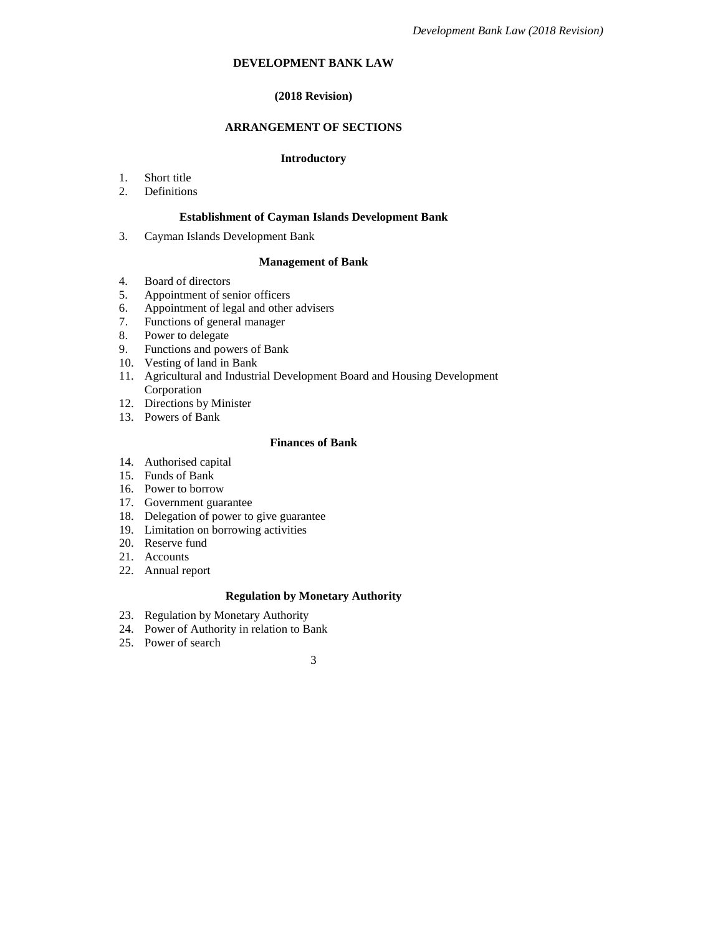## **DEVELOPMENT BANK LAW**

# **(2018 Revision)**

# **ARRANGEMENT OF SECTIONS**

### **Introductory**

- 1. Short title
- 2. Definitions

#### **Establishment of Cayman Islands Development Bank**

3. Cayman Islands Development Bank

### **Management of Bank**

- 4. Board of directors
- 5. Appointment of senior officers
- 6. Appointment of legal and other advisers
- 7. Functions of general manager
- 8. Power to delegate
- 9. Functions and powers of Bank
- 10. Vesting of land in Bank
- 11. Agricultural and Industrial Development Board and Housing Development Corporation
- 12. Directions by Minister
- 13. Powers of Bank

## **Finances of Bank**

- 14. Authorised capital
- 15. Funds of Bank
- 16. Power to borrow
- 17. Government guarantee
- 18. Delegation of power to give guarantee
- 19. Limitation on borrowing activities
- 20. Reserve fund
- 21. Accounts
- 22. Annual report

# **Regulation by Monetary Authority**

- 23. Regulation by Monetary Authority
- 24. Power of Authority in relation to Bank
- 25. Power of search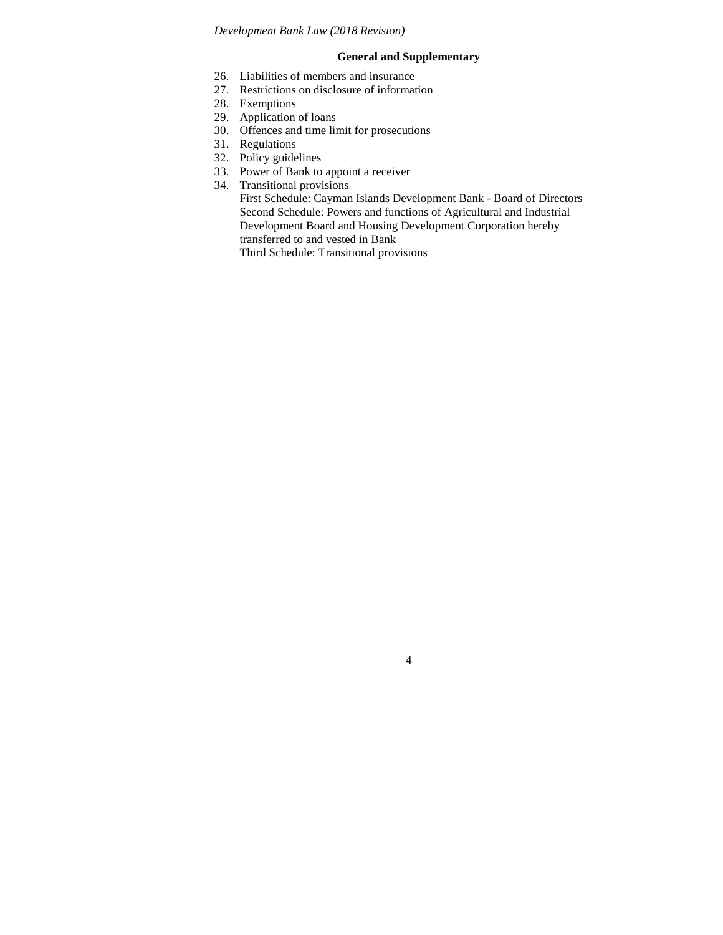# **General and Supplementary**

- 26. Liabilities of members and insurance
- 27. Restrictions on disclosure of information
- 28. Exemptions
- 29. Application of loans
- 30. Offences and time limit for prosecutions
- 31. Regulations
- 32. Policy guidelines
- 33. Power of Bank to appoint a receiver
- 34. Transitional provisions

First Schedule: Cayman Islands Development Bank - Board of Directors Second Schedule: Powers and functions of Agricultural and Industrial Development Board and Housing Development Corporation hereby transferred to and vested in Bank

4

Third Schedule: Transitional provisions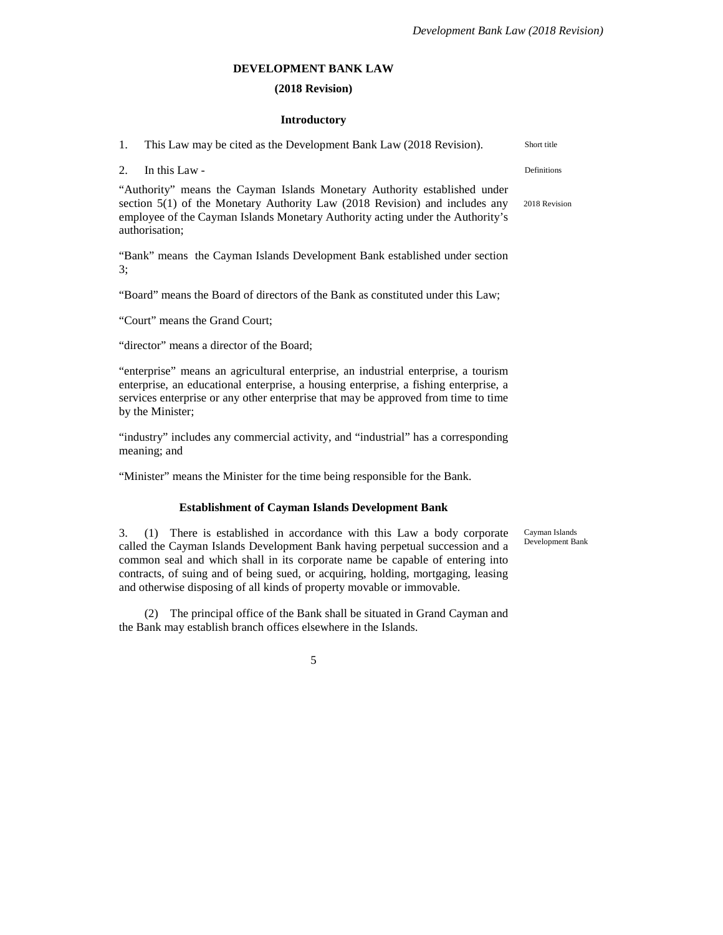### **DEVELOPMENT BANK LAW**

### **(2018 Revision)**

#### **Introductory**

| 1.                                                                        | This Law may be cited as the Development Bank Law (2018 Revision).            | Short title   |
|---------------------------------------------------------------------------|-------------------------------------------------------------------------------|---------------|
|                                                                           | 2. In this Law -                                                              | Definitions   |
| "Authority" means the Cayman Islands Monetary Authority established under |                                                                               |               |
|                                                                           | section $5(1)$ of the Monetary Authority Law (2018 Revision) and includes any | 2018 Revision |

"Bank" means the Cayman Islands Development Bank established under section 3;

employee of the Cayman Islands Monetary Authority acting under the Authority's

"Board" means the Board of directors of the Bank as constituted under this Law;

"Court" means the Grand Court;

authorisation;

"director" means a director of the Board;

"enterprise" means an agricultural enterprise, an industrial enterprise, a tourism enterprise, an educational enterprise, a housing enterprise, a fishing enterprise, a services enterprise or any other enterprise that may be approved from time to time by the Minister;

"industry" includes any commercial activity, and "industrial" has a corresponding meaning; and

"Minister" means the Minister for the time being responsible for the Bank.

#### **Establishment of Cayman Islands Development Bank**

3. (1) There is established in accordance with this Law a body corporate called the Cayman Islands Development Bank having perpetual succession and a common seal and which shall in its corporate name be capable of entering into contracts, of suing and of being sued, or acquiring, holding, mortgaging, leasing and otherwise disposing of all kinds of property movable or immovable.

(2) The principal office of the Bank shall be situated in Grand Cayman and the Bank may establish branch offices elsewhere in the Islands.

Cayman Islands Development Bank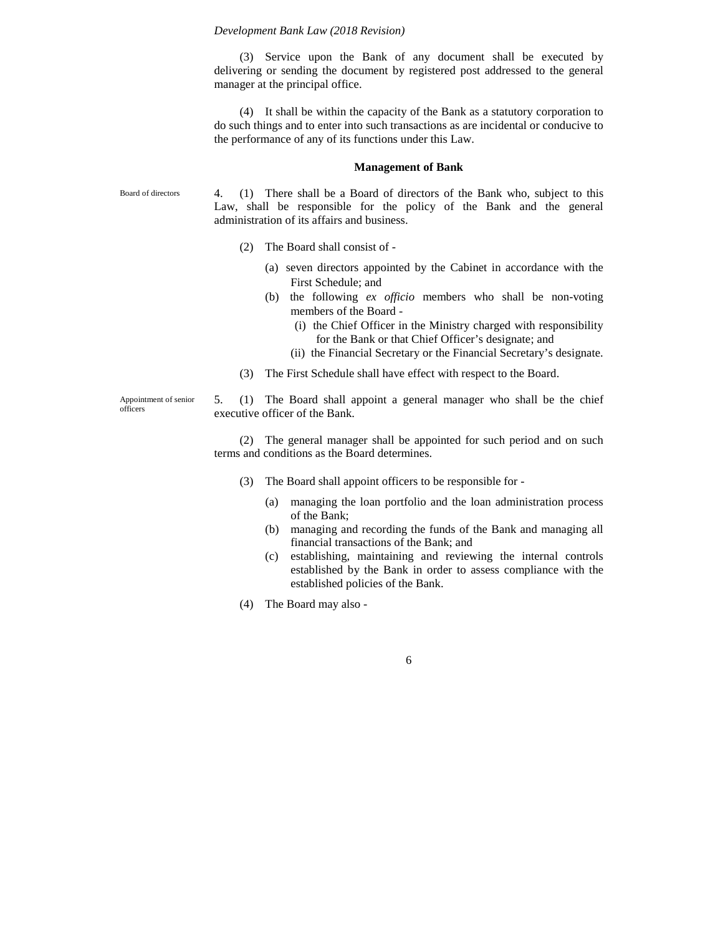(3) Service upon the Bank of any document shall be executed by delivering or sending the document by registered post addressed to the general manager at the principal office.

(4) It shall be within the capacity of the Bank as a statutory corporation to do such things and to enter into such transactions as are incidental or conducive to the performance of any of its functions under this Law.

#### **Management of Bank**

Board of directors

4. (1) There shall be a Board of directors of the Bank who, subject to this Law, shall be responsible for the policy of the Bank and the general administration of its affairs and business.

- (2) The Board shall consist of
	- (a) seven directors appointed by the Cabinet in accordance with the First Schedule; and
	- (b) the following *ex officio* members who shall be non-voting members of the Board -
		- (i) the Chief Officer in the Ministry charged with responsibility for the Bank or that Chief Officer's designate; and
		- (ii) the Financial Secretary or the Financial Secretary's designate.
- (3) The First Schedule shall have effect with respect to the Board.

Appointment of senior officers

5. (1) The Board shall appoint a general manager who shall be the chief executive officer of the Bank.

(2) The general manager shall be appointed for such period and on such terms and conditions as the Board determines.

- (3) The Board shall appoint officers to be responsible for
	- (a) managing the loan portfolio and the loan administration process of the Bank;
	- (b) managing and recording the funds of the Bank and managing all financial transactions of the Bank; and
	- (c) establishing, maintaining and reviewing the internal controls established by the Bank in order to assess compliance with the established policies of the Bank.
- (4) The Board may also -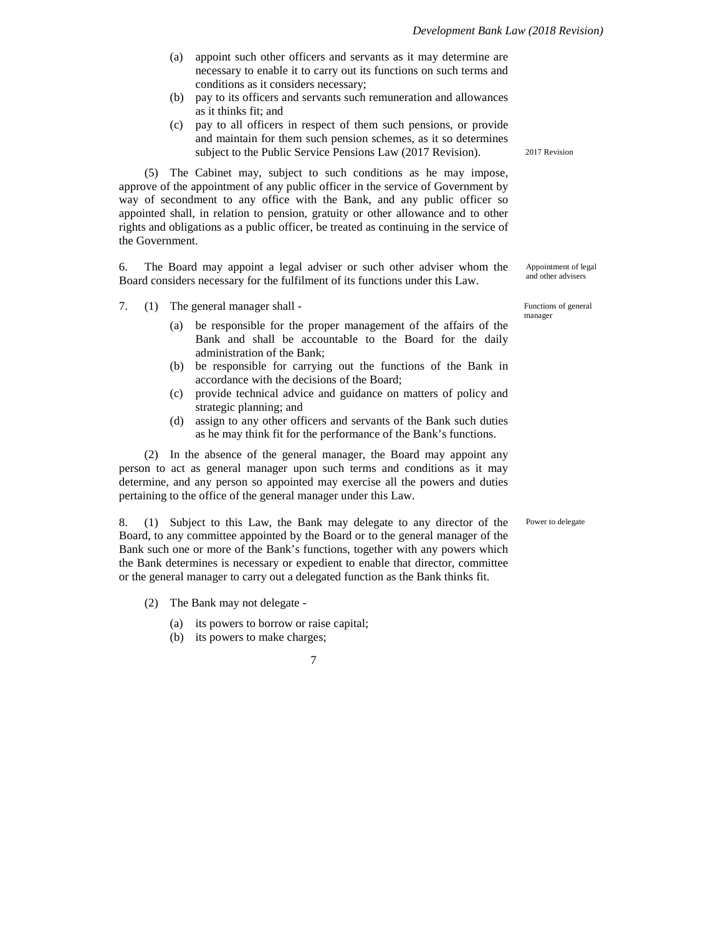- (a) appoint such other officers and servants as it may determine are necessary to enable it to carry out its functions on such terms and conditions as it considers necessary;
- (b) pay to its officers and servants such remuneration and allowances as it thinks fit; and
- (c) pay to all officers in respect of them such pensions, or provide and maintain for them such pension schemes, as it so determines subject to the Public Service Pensions Law (2017 Revision).

(5) The Cabinet may, subject to such conditions as he may impose, approve of the appointment of any public officer in the service of Government by way of secondment to any office with the Bank, and any public officer so appointed shall, in relation to pension, gratuity or other allowance and to other rights and obligations as a public officer, be treated as continuing in the service of the Government.

6. The Board may appoint a legal adviser or such other adviser whom the Board considers necessary for the fulfilment of its functions under this Law.

7. (1) The general manager shall -

- (a) be responsible for the proper management of the affairs of the Bank and shall be accountable to the Board for the daily administration of the Bank;
- (b) be responsible for carrying out the functions of the Bank in accordance with the decisions of the Board;
- (c) provide technical advice and guidance on matters of policy and strategic planning; and
- (d) assign to any other officers and servants of the Bank such duties as he may think fit for the performance of the Bank's functions.

(2) In the absence of the general manager, the Board may appoint any person to act as general manager upon such terms and conditions as it may determine, and any person so appointed may exercise all the powers and duties pertaining to the office of the general manager under this Law.

8. (1) Subject to this Law, the Bank may delegate to any director of the Board, to any committee appointed by the Board or to the general manager of the Bank such one or more of the Bank's functions, together with any powers which the Bank determines is necessary or expedient to enable that director, committee or the general manager to carry out a delegated function as the Bank thinks fit.

- (2) The Bank may not delegate
	- (a) its powers to borrow or raise capital;
	- (b) its powers to make charges;

7

2017 Revision

Appointment of legal and other advisers

Functions of general manager

Power to delegate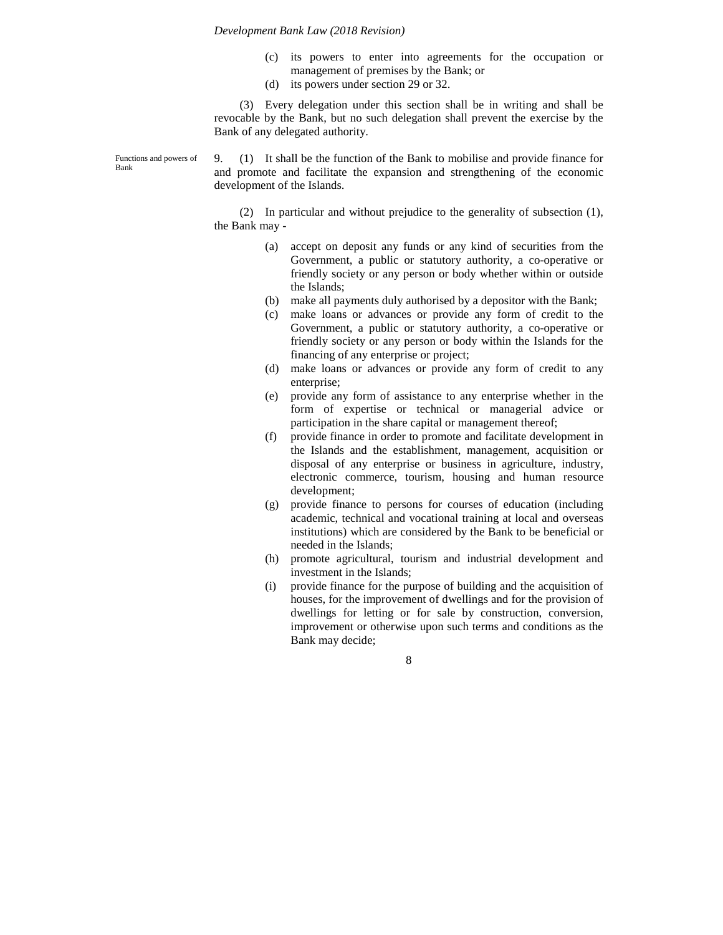- (c) its powers to enter into agreements for the occupation or management of premises by the Bank; or
- (d) its powers under section 29 or 32.

(3) Every delegation under this section shall be in writing and shall be revocable by the Bank, but no such delegation shall prevent the exercise by the Bank of any delegated authority.

Functions and powers of Bank

9. (1) It shall be the function of the Bank to mobilise and provide finance for and promote and facilitate the expansion and strengthening of the economic development of the Islands.

(2) In particular and without prejudice to the generality of subsection (1), the Bank may -

- (a) accept on deposit any funds or any kind of securities from the Government, a public or statutory authority, a co-operative or friendly society or any person or body whether within or outside the Islands;
- (b) make all payments duly authorised by a depositor with the Bank;
- (c) make loans or advances or provide any form of credit to the Government, a public or statutory authority, a co-operative or friendly society or any person or body within the Islands for the financing of any enterprise or project;
- (d) make loans or advances or provide any form of credit to any enterprise;
- (e) provide any form of assistance to any enterprise whether in the form of expertise or technical or managerial advice or participation in the share capital or management thereof;
- (f) provide finance in order to promote and facilitate development in the Islands and the establishment, management, acquisition or disposal of any enterprise or business in agriculture, industry, electronic commerce, tourism, housing and human resource development;
- (g) provide finance to persons for courses of education (including academic, technical and vocational training at local and overseas institutions) which are considered by the Bank to be beneficial or needed in the Islands;
- (h) promote agricultural, tourism and industrial development and investment in the Islands;
- (i) provide finance for the purpose of building and the acquisition of houses, for the improvement of dwellings and for the provision of dwellings for letting or for sale by construction, conversion, improvement or otherwise upon such terms and conditions as the Bank may decide;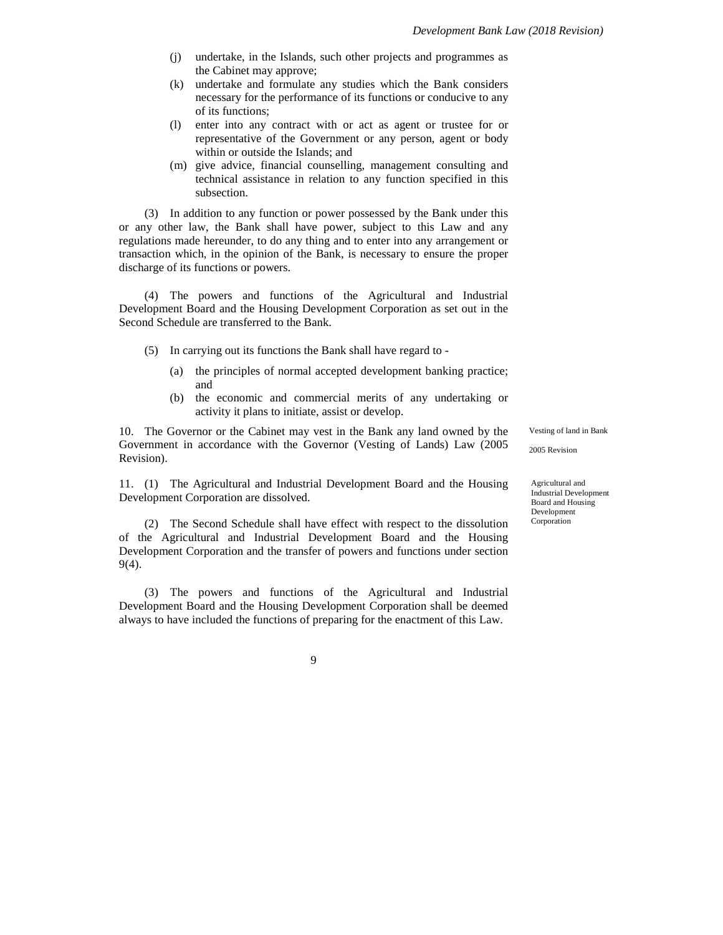- (j) undertake, in the Islands, such other projects and programmes as the Cabinet may approve;
- (k) undertake and formulate any studies which the Bank considers necessary for the performance of its functions or conducive to any of its functions;
- (l) enter into any contract with or act as agent or trustee for or representative of the Government or any person, agent or body within or outside the Islands; and
- (m) give advice, financial counselling, management consulting and technical assistance in relation to any function specified in this subsection.

(3) In addition to any function or power possessed by the Bank under this or any other law, the Bank shall have power, subject to this Law and any regulations made hereunder, to do any thing and to enter into any arrangement or transaction which, in the opinion of the Bank, is necessary to ensure the proper discharge of its functions or powers.

(4) The powers and functions of the Agricultural and Industrial Development Board and the Housing Development Corporation as set out in the Second Schedule are transferred to the Bank.

- (5) In carrying out its functions the Bank shall have regard to
	- (a) the principles of normal accepted development banking practice; and
	- (b) the economic and commercial merits of any undertaking or activity it plans to initiate, assist or develop.

10. The Governor or the Cabinet may vest in the Bank any land owned by the Government in accordance with the Governor (Vesting of Lands) Law (2005 Revision).

11. (1) The Agricultural and Industrial Development Board and the Housing Development Corporation are dissolved.

(2) The Second Schedule shall have effect with respect to the dissolution of the Agricultural and Industrial Development Board and the Housing Development Corporation and the transfer of powers and functions under section 9(4).

(3) The powers and functions of the Agricultural and Industrial Development Board and the Housing Development Corporation shall be deemed always to have included the functions of preparing for the enactment of this Law.

Vesting of land in Bank

2005 Revision

Agricultural and Industrial Development Board and Housing Development Corporation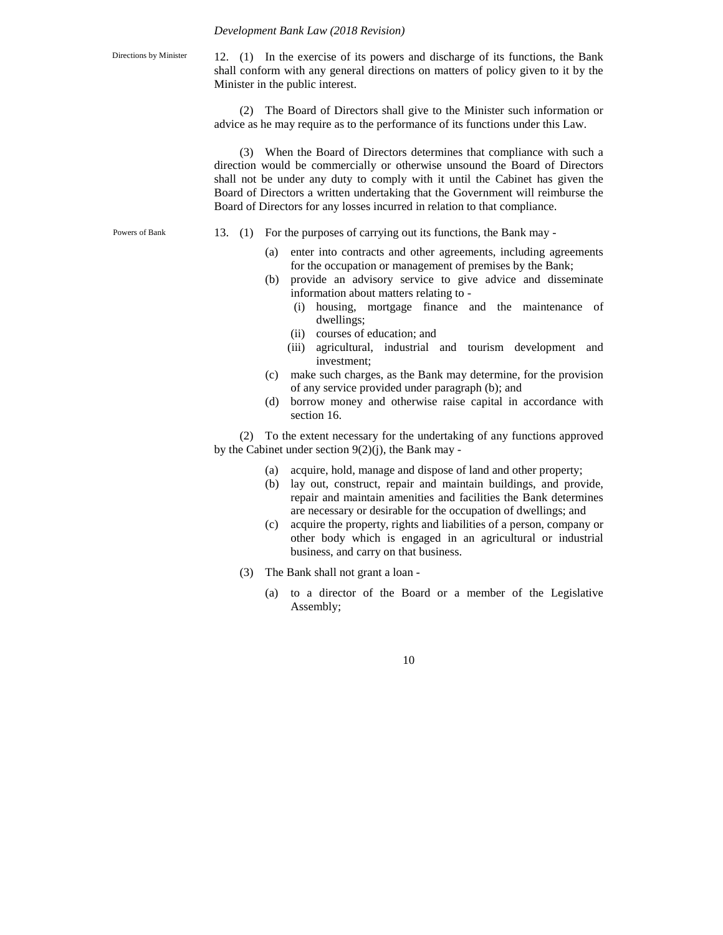Directions by Minister

12. (1) In the exercise of its powers and discharge of its functions, the Bank shall conform with any general directions on matters of policy given to it by the Minister in the public interest.

(2) The Board of Directors shall give to the Minister such information or advice as he may require as to the performance of its functions under this Law.

(3) When the Board of Directors determines that compliance with such a direction would be commercially or otherwise unsound the Board of Directors shall not be under any duty to comply with it until the Cabinet has given the Board of Directors a written undertaking that the Government will reimburse the Board of Directors for any losses incurred in relation to that compliance.

Powers of Bank

- 13. (1) For the purposes of carrying out its functions, the Bank may
	- (a) enter into contracts and other agreements, including agreements for the occupation or management of premises by the Bank;
	- (b) provide an advisory service to give advice and disseminate information about matters relating to -
		- (i) housing, mortgage finance and the maintenance of dwellings;
		- (ii) courses of education; and
		- (iii) agricultural, industrial and tourism development and investment;
	- (c) make such charges, as the Bank may determine, for the provision of any service provided under paragraph (b); and
	- (d) borrow money and otherwise raise capital in accordance with section 16.

(2) To the extent necessary for the undertaking of any functions approved by the Cabinet under section 9(2)(j), the Bank may -

- (a) acquire, hold, manage and dispose of land and other property;
- (b) lay out, construct, repair and maintain buildings, and provide, repair and maintain amenities and facilities the Bank determines are necessary or desirable for the occupation of dwellings; and
- (c) acquire the property, rights and liabilities of a person, company or other body which is engaged in an agricultural or industrial business, and carry on that business.
- (3) The Bank shall not grant a loan
	- (a) to a director of the Board or a member of the Legislative Assembly;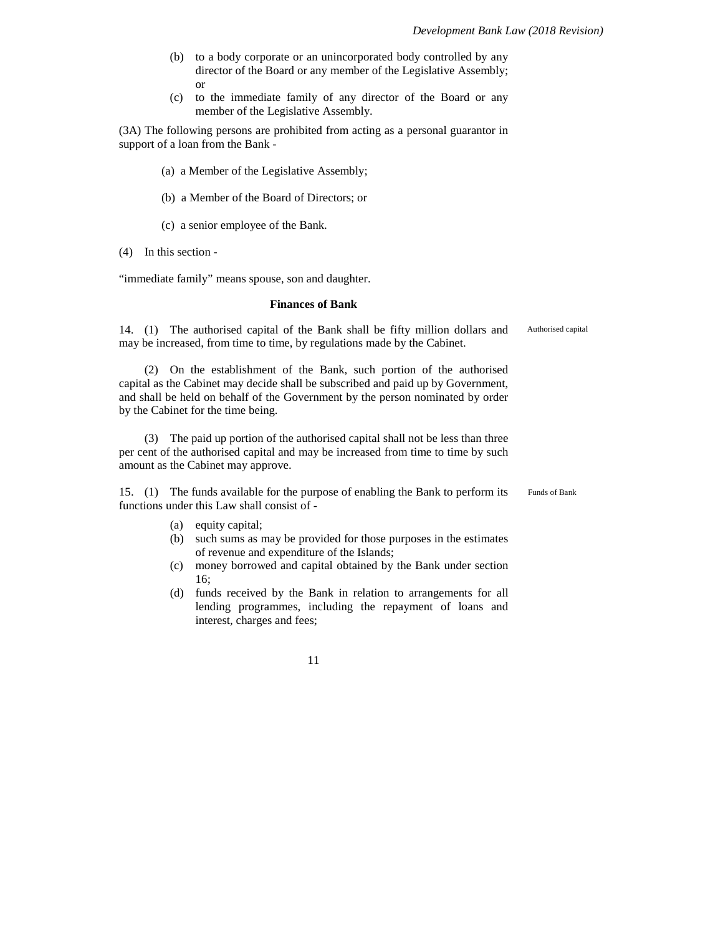- (b) to a body corporate or an unincorporated body controlled by any director of the Board or any member of the Legislative Assembly; or
- (c) to the immediate family of any director of the Board or any member of the Legislative Assembly.

(3A) The following persons are prohibited from acting as a personal guarantor in support of a loan from the Bank -

- (a) a Member of the Legislative Assembly;
- (b) a Member of the Board of Directors; or
- (c) a senior employee of the Bank.
- (4) In this section -

"immediate family" means spouse, son and daughter.

#### **Finances of Bank**

14. (1) The authorised capital of the Bank shall be fifty million dollars and may be increased, from time to time, by regulations made by the Cabinet.

(2) On the establishment of the Bank, such portion of the authorised capital as the Cabinet may decide shall be subscribed and paid up by Government, and shall be held on behalf of the Government by the person nominated by order by the Cabinet for the time being.

(3) The paid up portion of the authorised capital shall not be less than three per cent of the authorised capital and may be increased from time to time by such amount as the Cabinet may approve.

15. (1) The funds available for the purpose of enabling the Bank to perform its functions under this Law shall consist of -

Funds of Bank

Authorised capital

- (a) equity capital;
- (b) such sums as may be provided for those purposes in the estimates of revenue and expenditure of the Islands;
- (c) money borrowed and capital obtained by the Bank under section 16;
- (d) funds received by the Bank in relation to arrangements for all lending programmes, including the repayment of loans and interest, charges and fees;

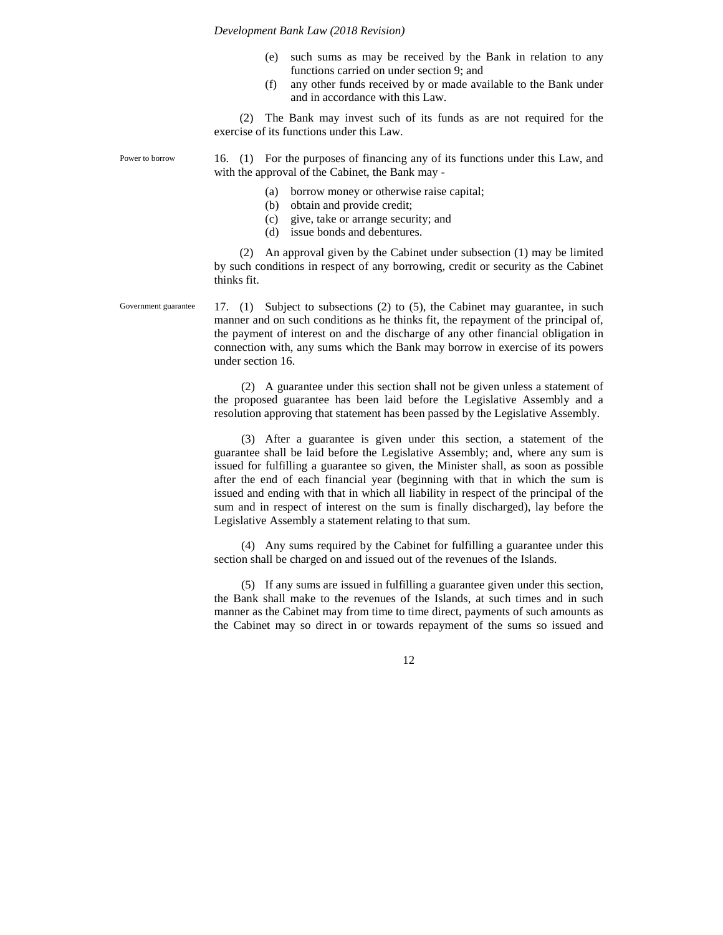- (e) such sums as may be received by the Bank in relation to any functions carried on under section 9; and
- (f) any other funds received by or made available to the Bank under and in accordance with this Law.

(2) The Bank may invest such of its funds as are not required for the exercise of its functions under this Law.

16. (1) For the purposes of financing any of its functions under this Law, and with the approval of the Cabinet, the Bank may -

(a) borrow money or otherwise raise capital;

- (b) obtain and provide credit;
- (c) give, take or arrange security; and
- (d) issue bonds and debentures.

(2) An approval given by the Cabinet under subsection (1) may be limited by such conditions in respect of any borrowing, credit or security as the Cabinet thinks fit.

17. (1) Subject to subsections (2) to (5), the Cabinet may guarantee, in such manner and on such conditions as he thinks fit, the repayment of the principal of, the payment of interest on and the discharge of any other financial obligation in connection with, any sums which the Bank may borrow in exercise of its powers under section 16.

(2) A guarantee under this section shall not be given unless a statement of the proposed guarantee has been laid before the Legislative Assembly and a resolution approving that statement has been passed by the Legislative Assembly.

(3) After a guarantee is given under this section, a statement of the guarantee shall be laid before the Legislative Assembly; and, where any sum is issued for fulfilling a guarantee so given, the Minister shall, as soon as possible after the end of each financial year (beginning with that in which the sum is issued and ending with that in which all liability in respect of the principal of the sum and in respect of interest on the sum is finally discharged), lay before the Legislative Assembly a statement relating to that sum.

(4) Any sums required by the Cabinet for fulfilling a guarantee under this section shall be charged on and issued out of the revenues of the Islands.

(5) If any sums are issued in fulfilling a guarantee given under this section, the Bank shall make to the revenues of the Islands, at such times and in such manner as the Cabinet may from time to time direct, payments of such amounts as the Cabinet may so direct in or towards repayment of the sums so issued and

12

Power to borrow

Government guarantee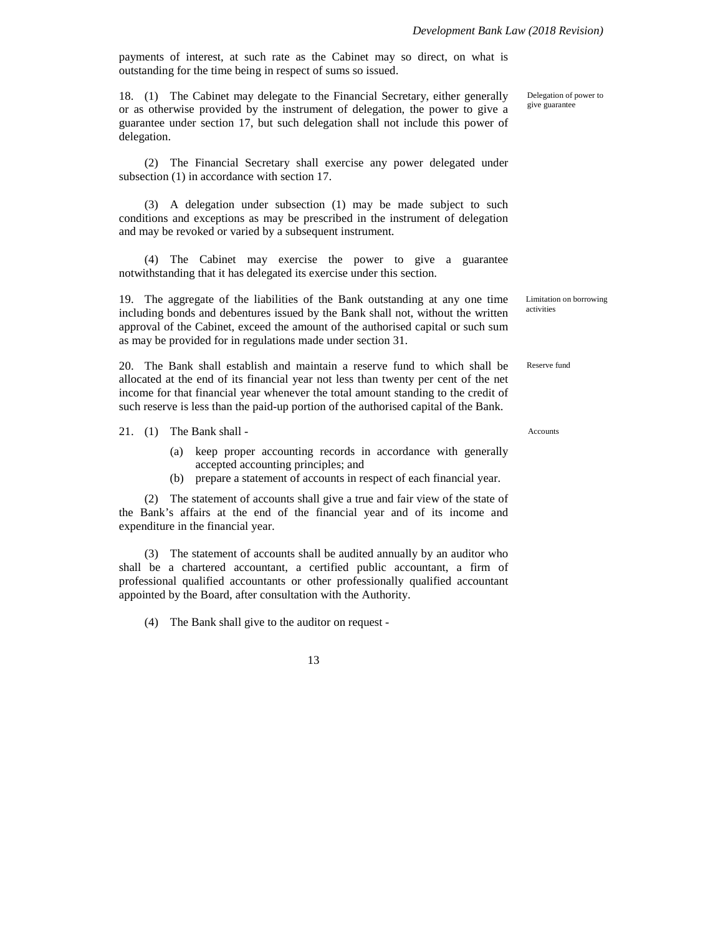payments of interest, at such rate as the Cabinet may so direct, on what is outstanding for the time being in respect of sums so issued.

18. (1) The Cabinet may delegate to the Financial Secretary, either generally or as otherwise provided by the instrument of delegation, the power to give a guarantee under section 17, but such delegation shall not include this power of delegation.

(2) The Financial Secretary shall exercise any power delegated under subsection  $(1)$  in accordance with section 17.

(3) A delegation under subsection (1) may be made subject to such conditions and exceptions as may be prescribed in the instrument of delegation and may be revoked or varied by a subsequent instrument.

(4) The Cabinet may exercise the power to give a guarantee notwithstanding that it has delegated its exercise under this section.

19. The aggregate of the liabilities of the Bank outstanding at any one time including bonds and debentures issued by the Bank shall not, without the written approval of the Cabinet, exceed the amount of the authorised capital or such sum as may be provided for in regulations made under section 31.

20. The Bank shall establish and maintain a reserve fund to which shall be allocated at the end of its financial year not less than twenty per cent of the net income for that financial year whenever the total amount standing to the credit of such reserve is less than the paid-up portion of the authorised capital of the Bank.

21. (1) The Bank shall -

- (a) keep proper accounting records in accordance with generally accepted accounting principles; and
- (b) prepare a statement of accounts in respect of each financial year.

(2) The statement of accounts shall give a true and fair view of the state of the Bank's affairs at the end of the financial year and of its income and expenditure in the financial year.

(3) The statement of accounts shall be audited annually by an auditor who shall be a chartered accountant, a certified public accountant, a firm of professional qualified accountants or other professionally qualified accountant appointed by the Board, after consultation with the Authority.

(4) The Bank shall give to the auditor on request -

13

Delegation of power to give guarantee

Limitation on borrowing activities

Reserve fund

Accounts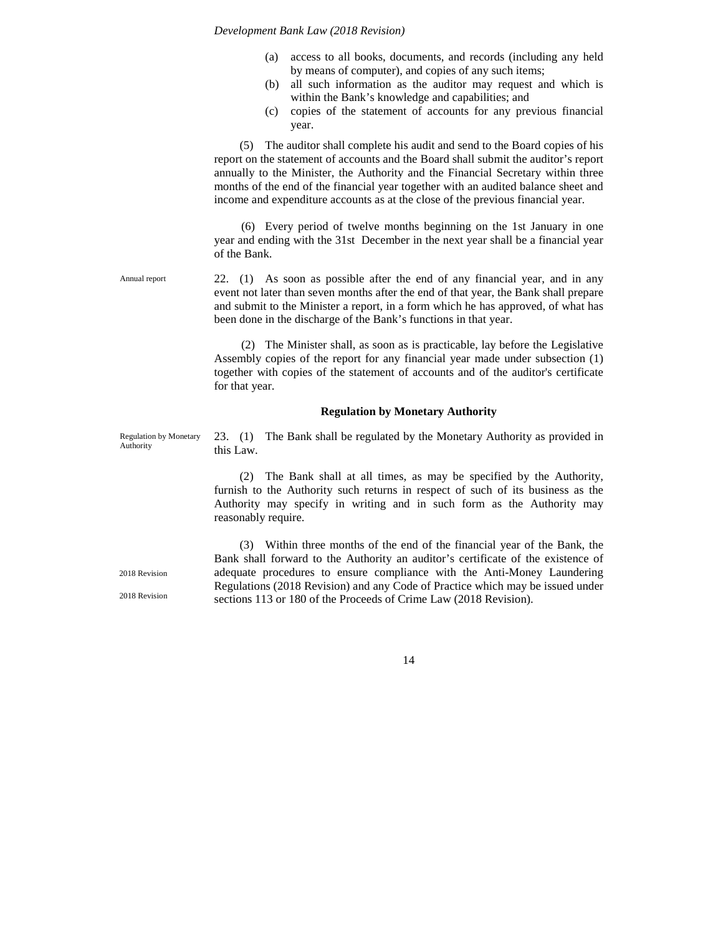- (a) access to all books, documents, and records (including any held by means of computer), and copies of any such items;
- (b) all such information as the auditor may request and which is within the Bank's knowledge and capabilities; and
- (c) copies of the statement of accounts for any previous financial year.

(5) The auditor shall complete his audit and send to the Board copies of his report on the statement of accounts and the Board shall submit the auditor's report annually to the Minister, the Authority and the Financial Secretary within three months of the end of the financial year together with an audited balance sheet and income and expenditure accounts as at the close of the previous financial year.

(6) Every period of twelve months beginning on the 1st January in one year and ending with the 31st December in the next year shall be a financial year of the Bank.

22. (1) As soon as possible after the end of any financial year, and in any event not later than seven months after the end of that year, the Bank shall prepare and submit to the Minister a report, in a form which he has approved, of what has been done in the discharge of the Bank's functions in that year. Annual report

> (2) The Minister shall, as soon as is practicable, lay before the Legislative Assembly copies of the report for any financial year made under subsection (1) together with copies of the statement of accounts and of the auditor's certificate for that year.

### **Regulation by Monetary Authority**

Regulation by Monetary Authority

23. (1) The Bank shall be regulated by the Monetary Authority as provided in this Law.

(2) The Bank shall at all times, as may be specified by the Authority, furnish to the Authority such returns in respect of such of its business as the Authority may specify in writing and in such form as the Authority may reasonably require.

(3) Within three months of the end of the financial year of the Bank, the Bank shall forward to the Authority an auditor's certificate of the existence of adequate procedures to ensure compliance with the Anti-Money Laundering Regulations (2018 Revision) and any Code of Practice which may be issued under sections 113 or 180 of the Proceeds of Crime Law (2018 Revision).

14

2018 Revision

2018 Revision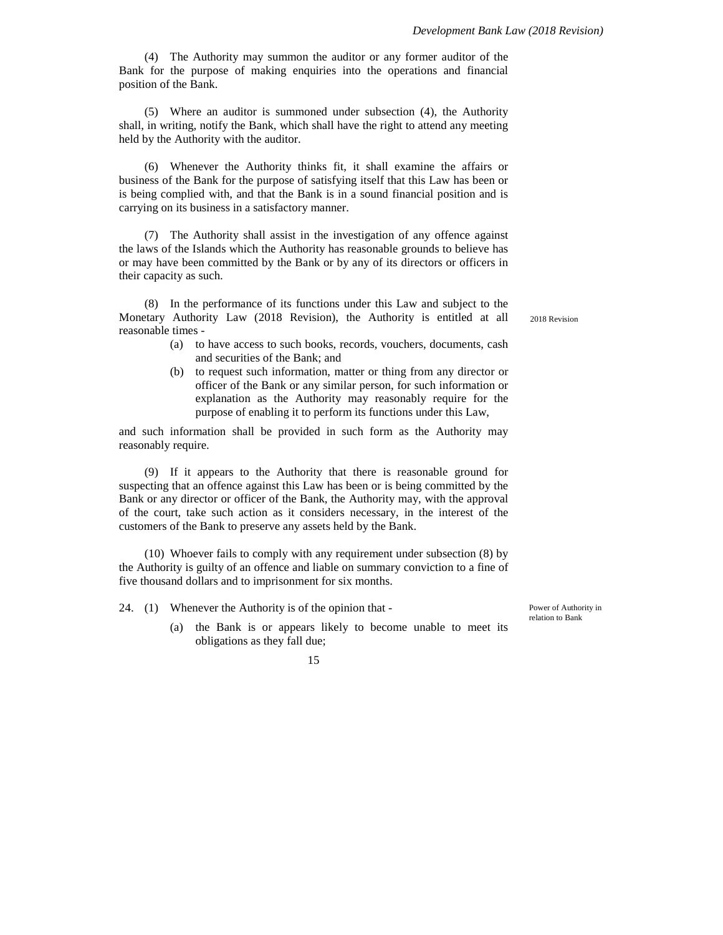(4) The Authority may summon the auditor or any former auditor of the Bank for the purpose of making enquiries into the operations and financial position of the Bank.

(5) Where an auditor is summoned under subsection (4), the Authority shall, in writing, notify the Bank, which shall have the right to attend any meeting held by the Authority with the auditor.

(6) Whenever the Authority thinks fit, it shall examine the affairs or business of the Bank for the purpose of satisfying itself that this Law has been or is being complied with, and that the Bank is in a sound financial position and is carrying on its business in a satisfactory manner.

(7) The Authority shall assist in the investigation of any offence against the laws of the Islands which the Authority has reasonable grounds to believe has or may have been committed by the Bank or by any of its directors or officers in their capacity as such.

(8) In the performance of its functions under this Law and subject to the Monetary Authority Law (2018 Revision), the Authority is entitled at all reasonable times -

- (a) to have access to such books, records, vouchers, documents, cash and securities of the Bank; and
- (b) to request such information, matter or thing from any director or officer of the Bank or any similar person, for such information or explanation as the Authority may reasonably require for the purpose of enabling it to perform its functions under this Law,

and such information shall be provided in such form as the Authority may reasonably require.

(9) If it appears to the Authority that there is reasonable ground for suspecting that an offence against this Law has been or is being committed by the Bank or any director or officer of the Bank, the Authority may, with the approval of the court, take such action as it considers necessary, in the interest of the customers of the Bank to preserve any assets held by the Bank.

(10) Whoever fails to comply with any requirement under subsection (8) by the Authority is guilty of an offence and liable on summary conviction to a fine of five thousand dollars and to imprisonment for six months.

24. (1) Whenever the Authority is of the opinion that -

(a) the Bank is or appears likely to become unable to meet its obligations as they fall due;

Power of Authority in relation to Bank

2018 Revision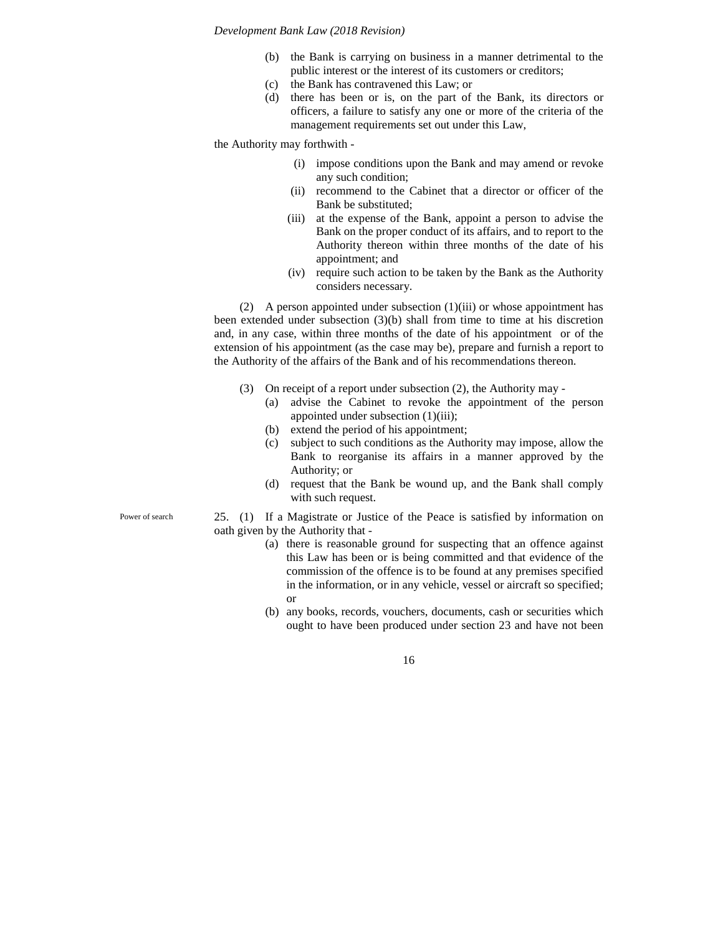- (b) the Bank is carrying on business in a manner detrimental to the public interest or the interest of its customers or creditors;
- (c) the Bank has contravened this Law; or
- (d) there has been or is, on the part of the Bank, its directors or officers, a failure to satisfy any one or more of the criteria of the management requirements set out under this Law,

the Authority may forthwith -

- (i) impose conditions upon the Bank and may amend or revoke any such condition;
- (ii) recommend to the Cabinet that a director or officer of the Bank be substituted;
- (iii) at the expense of the Bank, appoint a person to advise the Bank on the proper conduct of its affairs, and to report to the Authority thereon within three months of the date of his appointment; and
- (iv) require such action to be taken by the Bank as the Authority considers necessary.

(2) A person appointed under subsection (1)(iii) or whose appointment has been extended under subsection (3)(b) shall from time to time at his discretion and, in any case, within three months of the date of his appointment or of the extension of his appointment (as the case may be), prepare and furnish a report to the Authority of the affairs of the Bank and of his recommendations thereon.

- (3) On receipt of a report under subsection (2), the Authority may
	- (a) advise the Cabinet to revoke the appointment of the person appointed under subsection (1)(iii);
	- (b) extend the period of his appointment;
	- (c) subject to such conditions as the Authority may impose, allow the Bank to reorganise its affairs in a manner approved by the Authority; or
	- (d) request that the Bank be wound up, and the Bank shall comply with such request.
- 25. (1) If a Magistrate or Justice of the Peace is satisfied by information on oath given by the Authority that -
	- (a) there is reasonable ground for suspecting that an offence against this Law has been or is being committed and that evidence of the commission of the offence is to be found at any premises specified in the information, or in any vehicle, vessel or aircraft so specified; or
	- (b) any books, records, vouchers, documents, cash or securities which ought to have been produced under section 23 and have not been

16

Power of search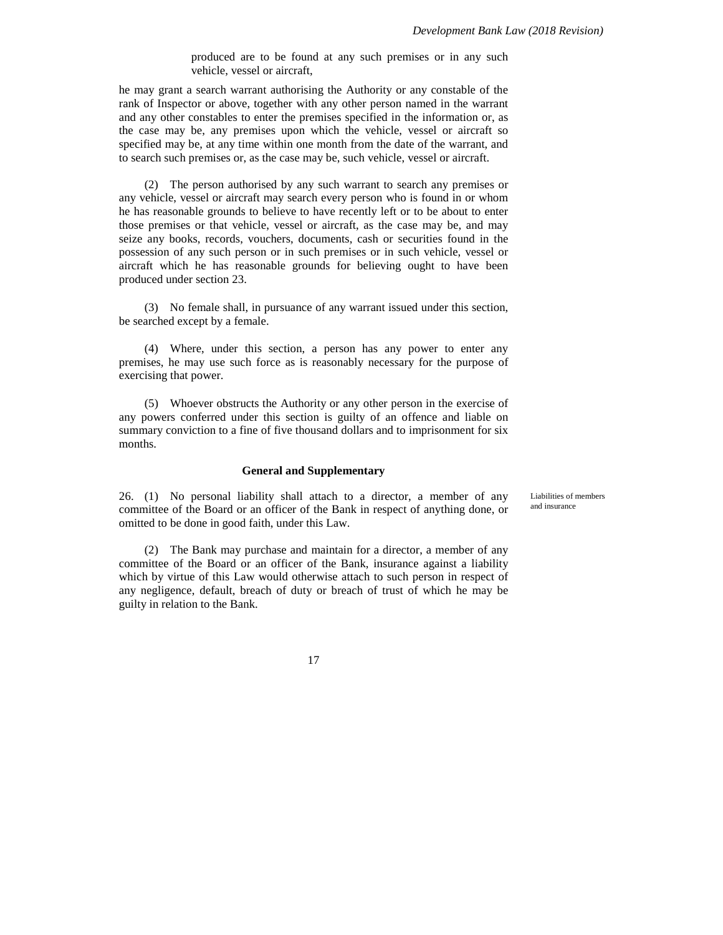produced are to be found at any such premises or in any such vehicle, vessel or aircraft,

he may grant a search warrant authorising the Authority or any constable of the rank of Inspector or above, together with any other person named in the warrant and any other constables to enter the premises specified in the information or, as the case may be, any premises upon which the vehicle, vessel or aircraft so specified may be, at any time within one month from the date of the warrant, and to search such premises or, as the case may be, such vehicle, vessel or aircraft.

(2) The person authorised by any such warrant to search any premises or any vehicle, vessel or aircraft may search every person who is found in or whom he has reasonable grounds to believe to have recently left or to be about to enter those premises or that vehicle, vessel or aircraft, as the case may be, and may seize any books, records, vouchers, documents, cash or securities found in the possession of any such person or in such premises or in such vehicle, vessel or aircraft which he has reasonable grounds for believing ought to have been produced under section 23.

(3) No female shall, in pursuance of any warrant issued under this section, be searched except by a female.

(4) Where, under this section, a person has any power to enter any premises, he may use such force as is reasonably necessary for the purpose of exercising that power.

(5) Whoever obstructs the Authority or any other person in the exercise of any powers conferred under this section is guilty of an offence and liable on summary conviction to a fine of five thousand dollars and to imprisonment for six months.

#### **General and Supplementary**

26. (1) No personal liability shall attach to a director, a member of any committee of the Board or an officer of the Bank in respect of anything done, or omitted to be done in good faith, under this Law.

(2) The Bank may purchase and maintain for a director, a member of any committee of the Board or an officer of the Bank, insurance against a liability which by virtue of this Law would otherwise attach to such person in respect of any negligence, default, breach of duty or breach of trust of which he may be guilty in relation to the Bank.

Liabilities of members and insurance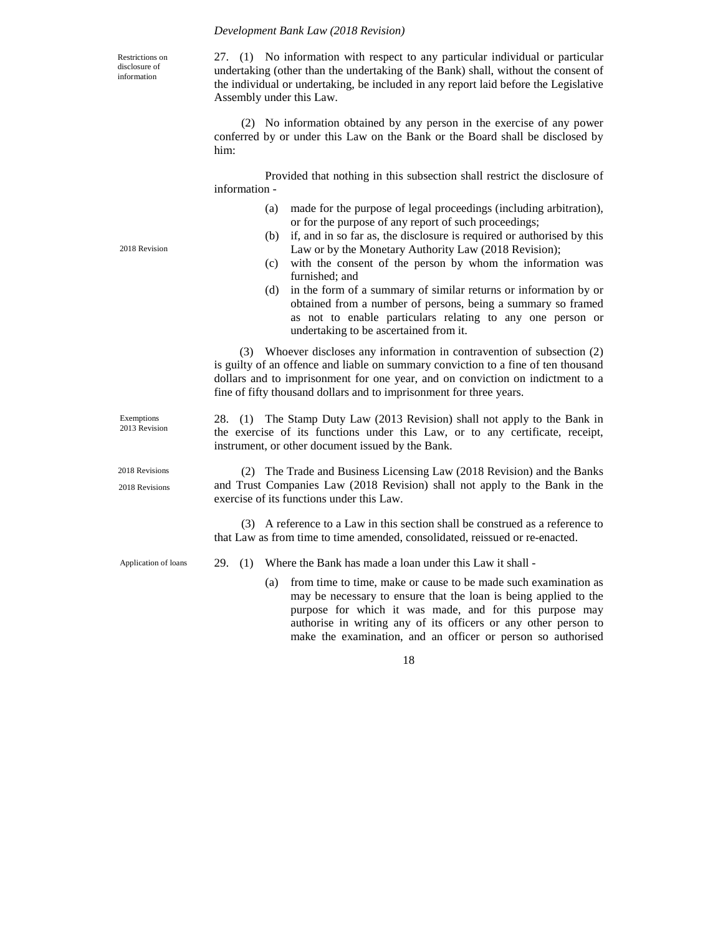Restrictions on disclosure of information

27. (1) No information with respect to any particular individual or particular undertaking (other than the undertaking of the Bank) shall, without the consent of the individual or undertaking, be included in any report laid before the Legislative Assembly under this Law.

(2) No information obtained by any person in the exercise of any power conferred by or under this Law on the Bank or the Board shall be disclosed by him:

Provided that nothing in this subsection shall restrict the disclosure of information -

- (a) made for the purpose of legal proceedings (including arbitration), or for the purpose of any report of such proceedings;
- (b) if, and in so far as, the disclosure is required or authorised by this Law or by the Monetary Authority Law (2018 Revision);
- (c) with the consent of the person by whom the information was furnished; and
- (d) in the form of a summary of similar returns or information by or obtained from a number of persons, being a summary so framed as not to enable particulars relating to any one person or undertaking to be ascertained from it.

(3) Whoever discloses any information in contravention of subsection (2) is guilty of an offence and liable on summary conviction to a fine of ten thousand dollars and to imprisonment for one year, and on conviction on indictment to a fine of fifty thousand dollars and to imprisonment for three years.

28. (1) The Stamp Duty Law (2013 Revision) shall not apply to the Bank in the exercise of its functions under this Law, or to any certificate, receipt, instrument, or other document issued by the Bank.

(2) The Trade and Business Licensing Law (2018 Revision) and the Banks and Trust Companies Law (2018 Revision) shall not apply to the Bank in the exercise of its functions under this Law.

(3) A reference to a Law in this section shall be construed as a reference to that Law as from time to time amended, consolidated, reissued or re-enacted.

Application of loans

- 29. (1) Where the Bank has made a loan under this Law it shall
	- (a) from time to time, make or cause to be made such examination as may be necessary to ensure that the loan is being applied to the purpose for which it was made, and for this purpose may authorise in writing any of its officers or any other person to make the examination, and an officer or person so authorised

18

2018 Revision

Exemptions 2013 Revision

2018 Revisions 2018 Revisions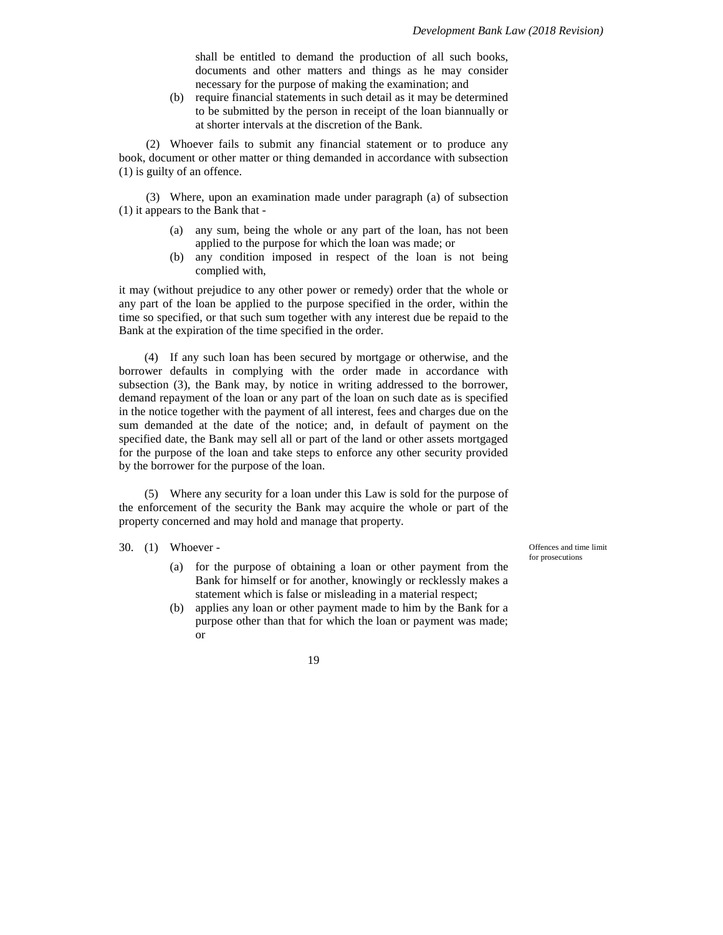shall be entitled to demand the production of all such books, documents and other matters and things as he may consider necessary for the purpose of making the examination; and

(b) require financial statements in such detail as it may be determined to be submitted by the person in receipt of the loan biannually or at shorter intervals at the discretion of the Bank.

(2) Whoever fails to submit any financial statement or to produce any book, document or other matter or thing demanded in accordance with subsection (1) is guilty of an offence.

(3) Where, upon an examination made under paragraph (a) of subsection (1) it appears to the Bank that -

- (a) any sum, being the whole or any part of the loan, has not been applied to the purpose for which the loan was made; or
- (b) any condition imposed in respect of the loan is not being complied with,

it may (without prejudice to any other power or remedy) order that the whole or any part of the loan be applied to the purpose specified in the order, within the time so specified, or that such sum together with any interest due be repaid to the Bank at the expiration of the time specified in the order.

(4) If any such loan has been secured by mortgage or otherwise, and the borrower defaults in complying with the order made in accordance with subsection (3), the Bank may, by notice in writing addressed to the borrower, demand repayment of the loan or any part of the loan on such date as is specified in the notice together with the payment of all interest, fees and charges due on the sum demanded at the date of the notice; and, in default of payment on the specified date, the Bank may sell all or part of the land or other assets mortgaged for the purpose of the loan and take steps to enforce any other security provided by the borrower for the purpose of the loan.

(5) Where any security for a loan under this Law is sold for the purpose of the enforcement of the security the Bank may acquire the whole or part of the property concerned and may hold and manage that property.

### 30. (1) Whoever -

- (a) for the purpose of obtaining a loan or other payment from the Bank for himself or for another, knowingly or recklessly makes a statement which is false or misleading in a material respect;
- (b) applies any loan or other payment made to him by the Bank for a purpose other than that for which the loan or payment was made; or

Offences and time limit for prosecutions

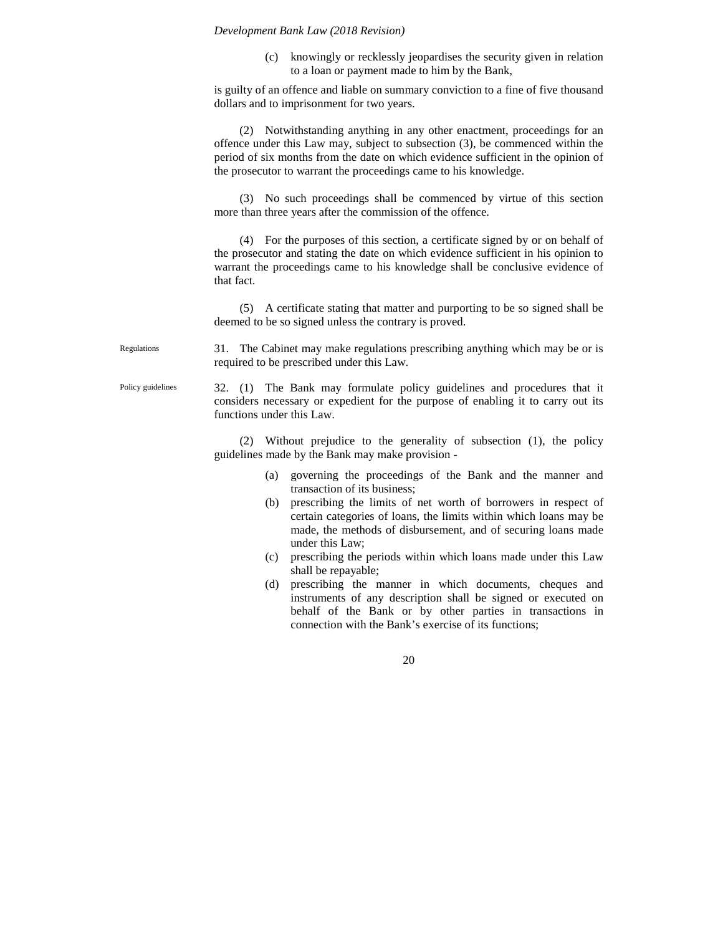(c) knowingly or recklessly jeopardises the security given in relation to a loan or payment made to him by the Bank,

is guilty of an offence and liable on summary conviction to a fine of five thousand dollars and to imprisonment for two years.

(2) Notwithstanding anything in any other enactment, proceedings for an offence under this Law may, subject to subsection (3), be commenced within the period of six months from the date on which evidence sufficient in the opinion of the prosecutor to warrant the proceedings came to his knowledge.

(3) No such proceedings shall be commenced by virtue of this section more than three years after the commission of the offence.

(4) For the purposes of this section, a certificate signed by or on behalf of the prosecutor and stating the date on which evidence sufficient in his opinion to warrant the proceedings came to his knowledge shall be conclusive evidence of that fact.

(5) A certificate stating that matter and purporting to be so signed shall be deemed to be so signed unless the contrary is proved.

31. The Cabinet may make regulations prescribing anything which may be or is required to be prescribed under this Law.

32. (1) The Bank may formulate policy guidelines and procedures that it considers necessary or expedient for the purpose of enabling it to carry out its functions under this Law.

(2) Without prejudice to the generality of subsection (1), the policy guidelines made by the Bank may make provision -

- (a) governing the proceedings of the Bank and the manner and transaction of its business;
- (b) prescribing the limits of net worth of borrowers in respect of certain categories of loans, the limits within which loans may be made, the methods of disbursement, and of securing loans made under this Law;
- (c) prescribing the periods within which loans made under this Law shall be repayable;
- (d) prescribing the manner in which documents, cheques and instruments of any description shall be signed or executed on behalf of the Bank or by other parties in transactions in connection with the Bank's exercise of its functions;

20

Regulations

Policy guidelines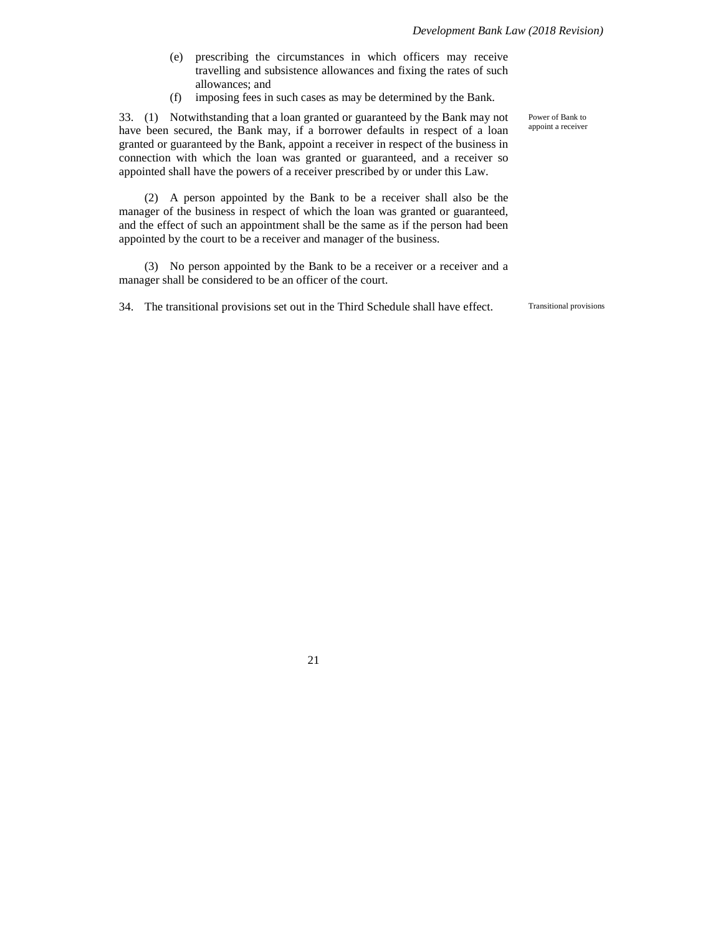- (e) prescribing the circumstances in which officers may receive travelling and subsistence allowances and fixing the rates of such allowances; and
- (f) imposing fees in such cases as may be determined by the Bank.

33. (1) Notwithstanding that a loan granted or guaranteed by the Bank may not have been secured, the Bank may, if a borrower defaults in respect of a loan granted or guaranteed by the Bank, appoint a receiver in respect of the business in connection with which the loan was granted or guaranteed, and a receiver so appointed shall have the powers of a receiver prescribed by or under this Law.

(2) A person appointed by the Bank to be a receiver shall also be the manager of the business in respect of which the loan was granted or guaranteed, and the effect of such an appointment shall be the same as if the person had been appointed by the court to be a receiver and manager of the business.

(3) No person appointed by the Bank to be a receiver or a receiver and a manager shall be considered to be an officer of the court.

34. The transitional provisions set out in the Third Schedule shall have effect. Transitional provisions

Power of Bank to appoint a receiver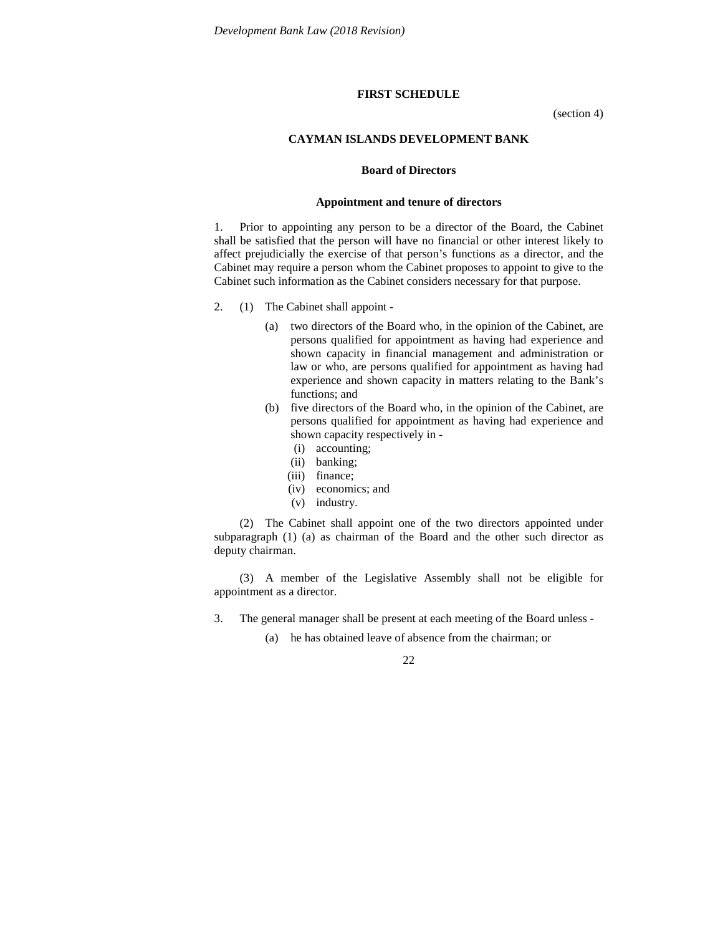### **FIRST SCHEDULE**

(section 4)

### **CAYMAN ISLANDS DEVELOPMENT BANK**

#### **Board of Directors**

#### **Appointment and tenure of directors**

1. Prior to appointing any person to be a director of the Board, the Cabinet shall be satisfied that the person will have no financial or other interest likely to affect prejudicially the exercise of that person's functions as a director, and the Cabinet may require a person whom the Cabinet proposes to appoint to give to the Cabinet such information as the Cabinet considers necessary for that purpose.

- 2. (1) The Cabinet shall appoint
	- (a) two directors of the Board who, in the opinion of the Cabinet, are persons qualified for appointment as having had experience and shown capacity in financial management and administration or law or who, are persons qualified for appointment as having had experience and shown capacity in matters relating to the Bank's functions; and
	- (b) five directors of the Board who, in the opinion of the Cabinet, are persons qualified for appointment as having had experience and shown capacity respectively in -
		- (i) accounting;
		- (ii) banking;
		- (iii) finance:
		- (iv) economics; and
		- (v) industry.

(2) The Cabinet shall appoint one of the two directors appointed under subparagraph (1) (a) as chairman of the Board and the other such director as deputy chairman.

(3) A member of the Legislative Assembly shall not be eligible for appointment as a director.

- 3. The general manager shall be present at each meeting of the Board unless
	- (a) he has obtained leave of absence from the chairman; or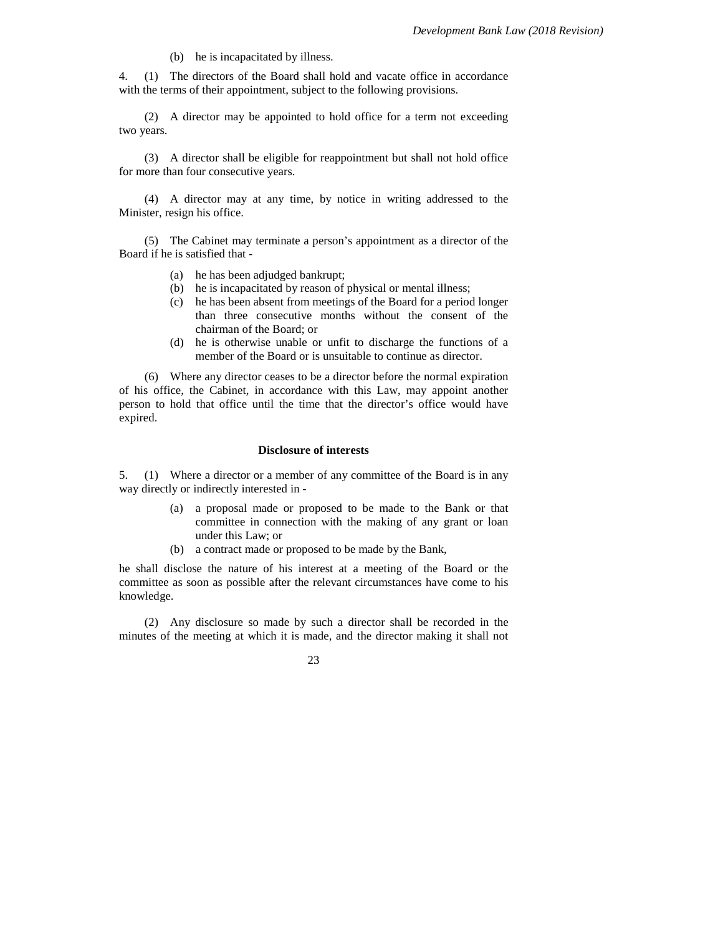(b) he is incapacitated by illness.

4. (1) The directors of the Board shall hold and vacate office in accordance with the terms of their appointment, subject to the following provisions.

(2) A director may be appointed to hold office for a term not exceeding two years.

(3) A director shall be eligible for reappointment but shall not hold office for more than four consecutive years.

(4) A director may at any time, by notice in writing addressed to the Minister, resign his office.

(5) The Cabinet may terminate a person's appointment as a director of the Board if he is satisfied that -

- (a) he has been adjudged bankrupt;
- (b) he is incapacitated by reason of physical or mental illness;
- (c) he has been absent from meetings of the Board for a period longer than three consecutive months without the consent of the chairman of the Board; or
- (d) he is otherwise unable or unfit to discharge the functions of a member of the Board or is unsuitable to continue as director.

(6) Where any director ceases to be a director before the normal expiration of his office, the Cabinet, in accordance with this Law, may appoint another person to hold that office until the time that the director's office would have expired.

## **Disclosure of interests**

5. (1) Where a director or a member of any committee of the Board is in any way directly or indirectly interested in -

- (a) a proposal made or proposed to be made to the Bank or that committee in connection with the making of any grant or loan under this Law; or
- (b) a contract made or proposed to be made by the Bank,

he shall disclose the nature of his interest at a meeting of the Board or the committee as soon as possible after the relevant circumstances have come to his knowledge.

(2) Any disclosure so made by such a director shall be recorded in the minutes of the meeting at which it is made, and the director making it shall not

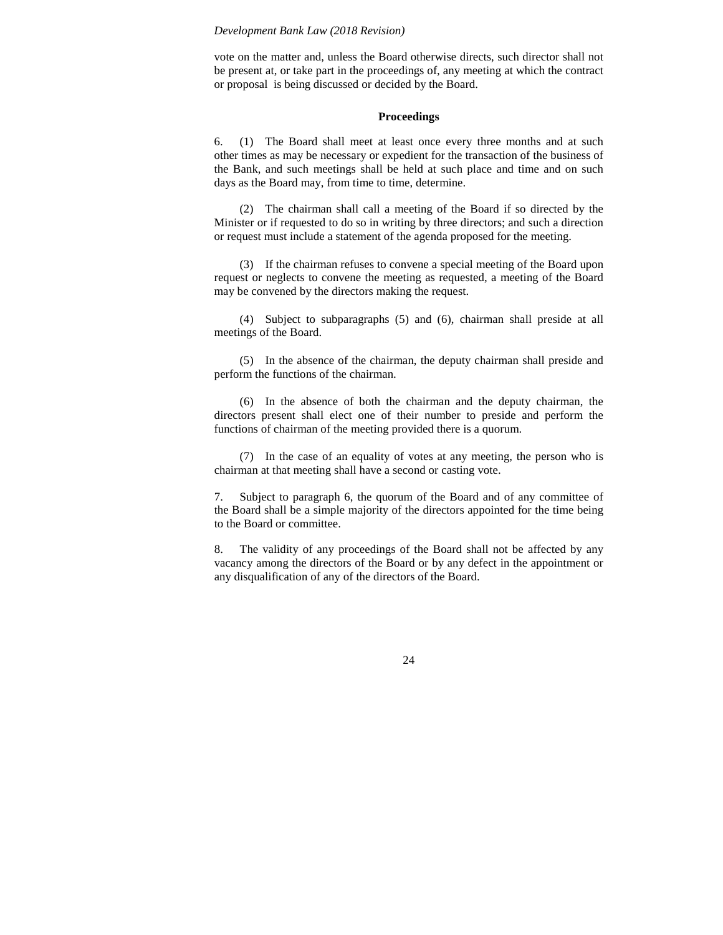vote on the matter and, unless the Board otherwise directs, such director shall not be present at, or take part in the proceedings of, any meeting at which the contract or proposal is being discussed or decided by the Board.

## **Proceedings**

6. (1) The Board shall meet at least once every three months and at such other times as may be necessary or expedient for the transaction of the business of the Bank, and such meetings shall be held at such place and time and on such days as the Board may, from time to time, determine.

(2) The chairman shall call a meeting of the Board if so directed by the Minister or if requested to do so in writing by three directors; and such a direction or request must include a statement of the agenda proposed for the meeting.

(3) If the chairman refuses to convene a special meeting of the Board upon request or neglects to convene the meeting as requested, a meeting of the Board may be convened by the directors making the request.

(4) Subject to subparagraphs (5) and (6), chairman shall preside at all meetings of the Board.

(5) In the absence of the chairman, the deputy chairman shall preside and perform the functions of the chairman.

(6) In the absence of both the chairman and the deputy chairman, the directors present shall elect one of their number to preside and perform the functions of chairman of the meeting provided there is a quorum.

(7) In the case of an equality of votes at any meeting, the person who is chairman at that meeting shall have a second or casting vote.

7. Subject to paragraph 6, the quorum of the Board and of any committee of the Board shall be a simple majority of the directors appointed for the time being to the Board or committee.

8. The validity of any proceedings of the Board shall not be affected by any vacancy among the directors of the Board or by any defect in the appointment or any disqualification of any of the directors of the Board.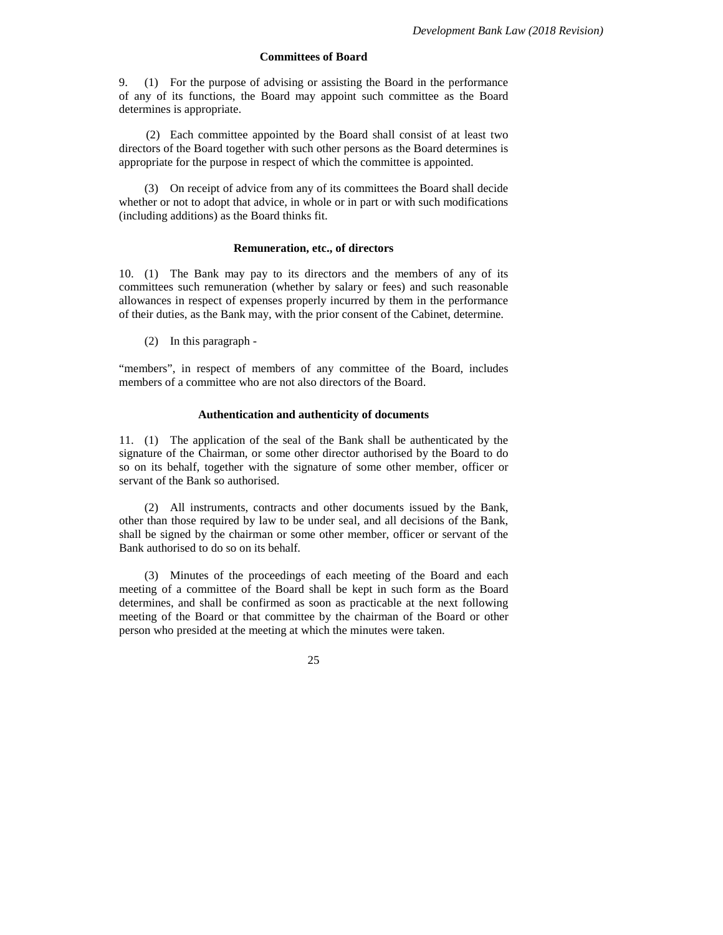## **Committees of Board**

9. (1) For the purpose of advising or assisting the Board in the performance of any of its functions, the Board may appoint such committee as the Board determines is appropriate.

(2) Each committee appointed by the Board shall consist of at least two directors of the Board together with such other persons as the Board determines is appropriate for the purpose in respect of which the committee is appointed.

(3) On receipt of advice from any of its committees the Board shall decide whether or not to adopt that advice, in whole or in part or with such modifications (including additions) as the Board thinks fit.

#### **Remuneration, etc., of directors**

10. (1) The Bank may pay to its directors and the members of any of its committees such remuneration (whether by salary or fees) and such reasonable allowances in respect of expenses properly incurred by them in the performance of their duties, as the Bank may, with the prior consent of the Cabinet, determine.

(2) In this paragraph -

"members", in respect of members of any committee of the Board, includes members of a committee who are not also directors of the Board.

### **Authentication and authenticity of documents**

11. (1) The application of the seal of the Bank shall be authenticated by the signature of the Chairman, or some other director authorised by the Board to do so on its behalf, together with the signature of some other member, officer or servant of the Bank so authorised.

(2) All instruments, contracts and other documents issued by the Bank, other than those required by law to be under seal, and all decisions of the Bank, shall be signed by the chairman or some other member, officer or servant of the Bank authorised to do so on its behalf.

(3) Minutes of the proceedings of each meeting of the Board and each meeting of a committee of the Board shall be kept in such form as the Board determines, and shall be confirmed as soon as practicable at the next following meeting of the Board or that committee by the chairman of the Board or other person who presided at the meeting at which the minutes were taken.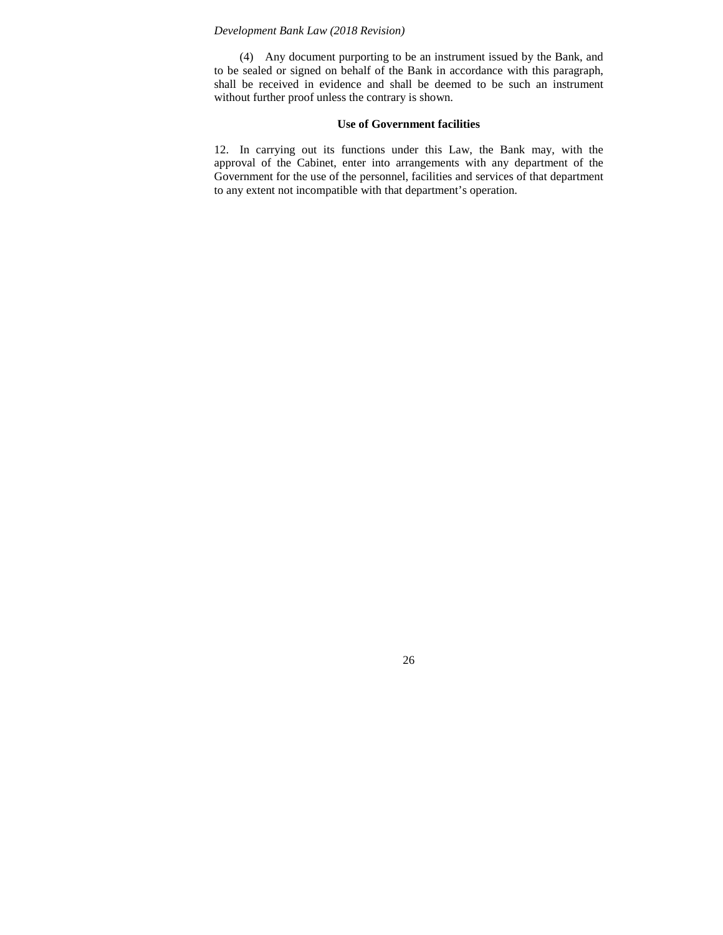(4) Any document purporting to be an instrument issued by the Bank, and to be sealed or signed on behalf of the Bank in accordance with this paragraph, shall be received in evidence and shall be deemed to be such an instrument without further proof unless the contrary is shown.

## **Use of Government facilities**

12. In carrying out its functions under this Law, the Bank may, with the approval of the Cabinet, enter into arrangements with any department of the Government for the use of the personnel, facilities and services of that department to any extent not incompatible with that department's operation.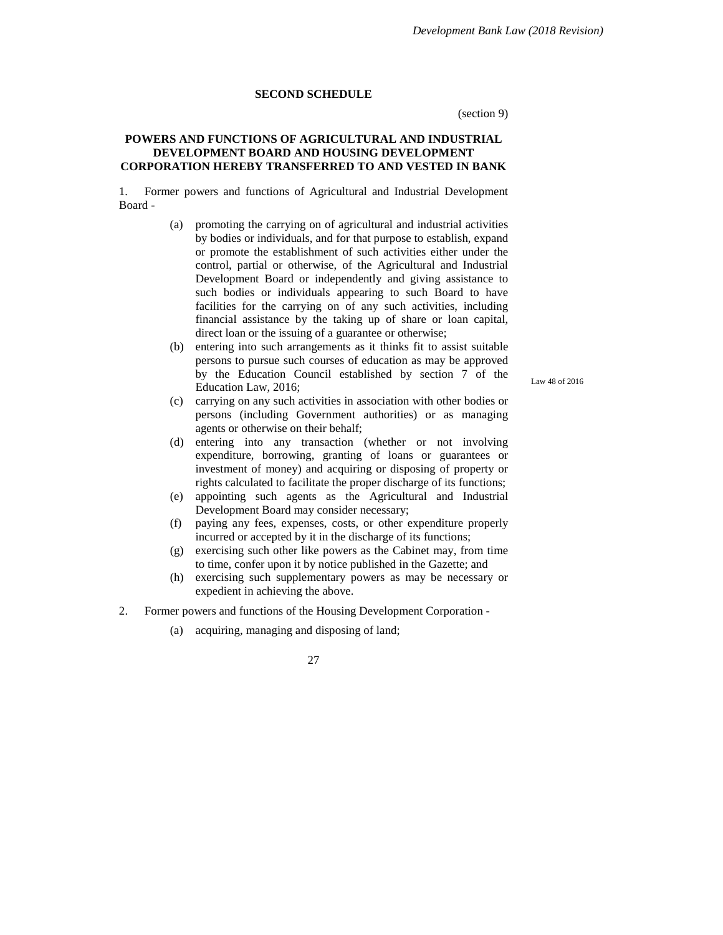### **SECOND SCHEDULE**

(section 9)

### **POWERS AND FUNCTIONS OF AGRICULTURAL AND INDUSTRIAL DEVELOPMENT BOARD AND HOUSING DEVELOPMENT CORPORATION HEREBY TRANSFERRED TO AND VESTED IN BANK**

1. Former powers and functions of Agricultural and Industrial Development Board -

- (a) promoting the carrying on of agricultural and industrial activities by bodies or individuals, and for that purpose to establish, expand or promote the establishment of such activities either under the control, partial or otherwise, of the Agricultural and Industrial Development Board or independently and giving assistance to such bodies or individuals appearing to such Board to have facilities for the carrying on of any such activities, including financial assistance by the taking up of share or loan capital, direct loan or the issuing of a guarantee or otherwise;
- (b) entering into such arrangements as it thinks fit to assist suitable persons to pursue such courses of education as may be approved by the Education Council established by section 7 of the Education Law, 2016;

Law 48 of 2016

- (c) carrying on any such activities in association with other bodies or persons (including Government authorities) or as managing agents or otherwise on their behalf;
- (d) entering into any transaction (whether or not involving expenditure, borrowing, granting of loans or guarantees or investment of money) and acquiring or disposing of property or rights calculated to facilitate the proper discharge of its functions;
- (e) appointing such agents as the Agricultural and Industrial Development Board may consider necessary;
- (f) paying any fees, expenses, costs, or other expenditure properly incurred or accepted by it in the discharge of its functions;
- (g) exercising such other like powers as the Cabinet may, from time to time, confer upon it by notice published in the Gazette; and
- (h) exercising such supplementary powers as may be necessary or expedient in achieving the above.
- 2. Former powers and functions of the Housing Development Corporation
	- (a) acquiring, managing and disposing of land;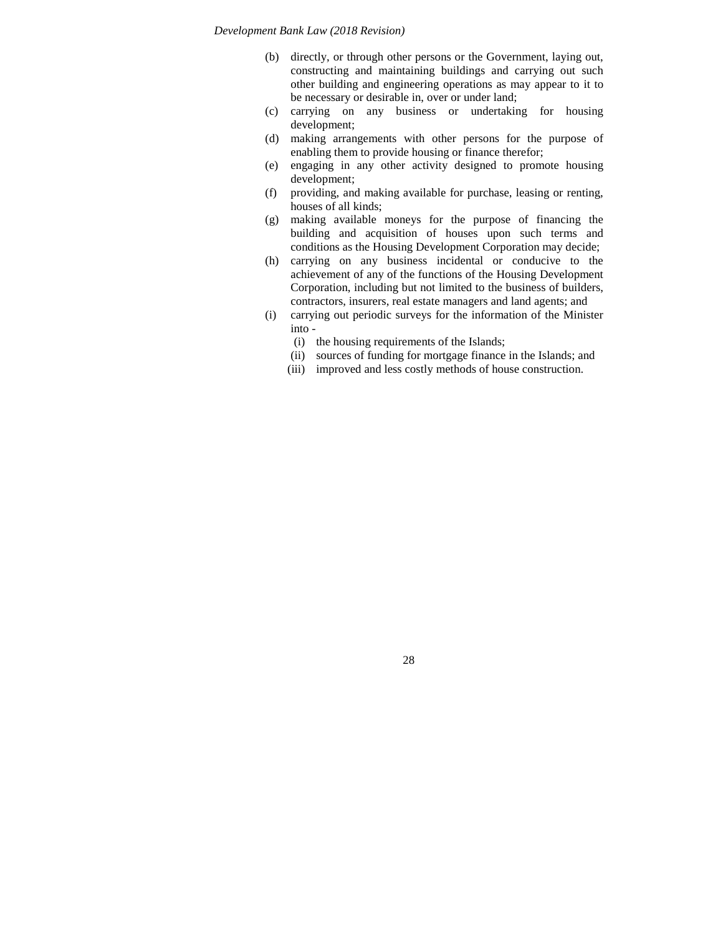- (b) directly, or through other persons or the Government, laying out, constructing and maintaining buildings and carrying out such other building and engineering operations as may appear to it to be necessary or desirable in, over or under land;
- (c) carrying on any business or undertaking for housing development;
- (d) making arrangements with other persons for the purpose of enabling them to provide housing or finance therefor;
- (e) engaging in any other activity designed to promote housing development;
- (f) providing, and making available for purchase, leasing or renting, houses of all kinds;
- (g) making available moneys for the purpose of financing the building and acquisition of houses upon such terms and conditions as the Housing Development Corporation may decide;
- (h) carrying on any business incidental or conducive to the achievement of any of the functions of the Housing Development Corporation, including but not limited to the business of builders, contractors, insurers, real estate managers and land agents; and
- (i) carrying out periodic surveys for the information of the Minister into -
	- (i) the housing requirements of the Islands;
	- (ii) sources of funding for mortgage finance in the Islands; and
	- (iii) improved and less costly methods of house construction.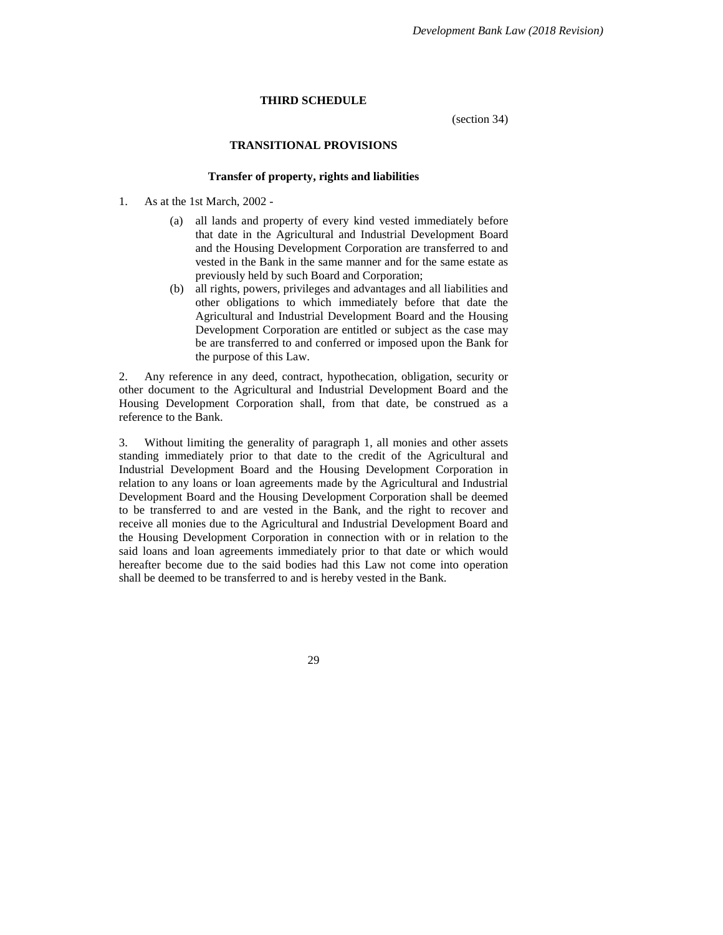### **THIRD SCHEDULE**

(section 34)

## **TRANSITIONAL PROVISIONS**

#### **Transfer of property, rights and liabilities**

- 1. As at the 1st March, 2002
	- (a) all lands and property of every kind vested immediately before that date in the Agricultural and Industrial Development Board and the Housing Development Corporation are transferred to and vested in the Bank in the same manner and for the same estate as previously held by such Board and Corporation;
	- (b) all rights, powers, privileges and advantages and all liabilities and other obligations to which immediately before that date the Agricultural and Industrial Development Board and the Housing Development Corporation are entitled or subject as the case may be are transferred to and conferred or imposed upon the Bank for the purpose of this Law.

2. Any reference in any deed, contract, hypothecation, obligation, security or other document to the Agricultural and Industrial Development Board and the Housing Development Corporation shall, from that date, be construed as a reference to the Bank.

3. Without limiting the generality of paragraph 1, all monies and other assets standing immediately prior to that date to the credit of the Agricultural and Industrial Development Board and the Housing Development Corporation in relation to any loans or loan agreements made by the Agricultural and Industrial Development Board and the Housing Development Corporation shall be deemed to be transferred to and are vested in the Bank, and the right to recover and receive all monies due to the Agricultural and Industrial Development Board and the Housing Development Corporation in connection with or in relation to the said loans and loan agreements immediately prior to that date or which would hereafter become due to the said bodies had this Law not come into operation shall be deemed to be transferred to and is hereby vested in the Bank.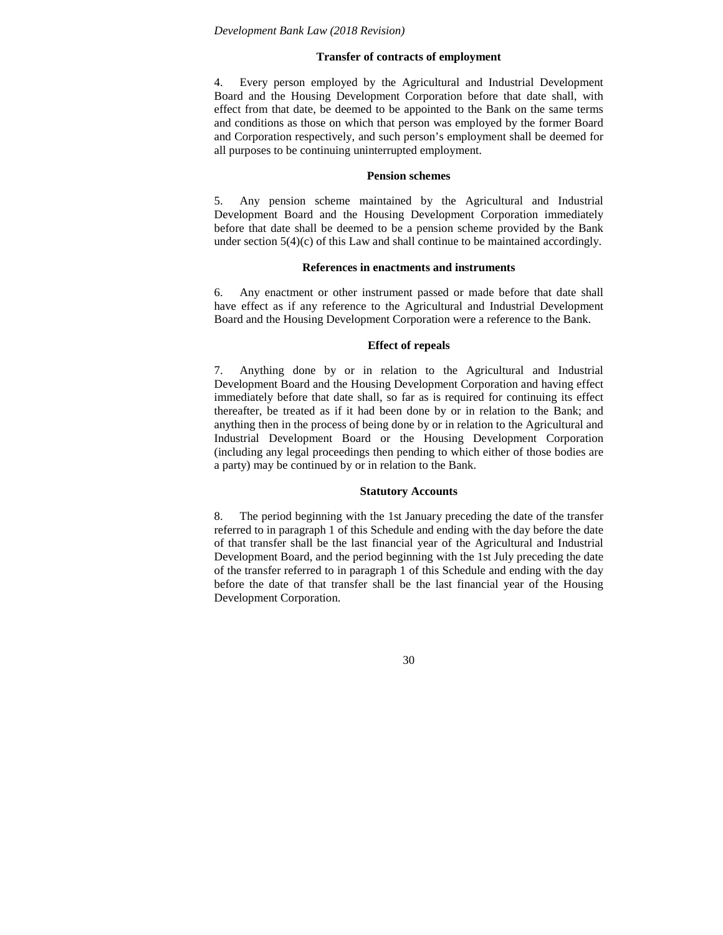### **Transfer of contracts of employment**

4. Every person employed by the Agricultural and Industrial Development Board and the Housing Development Corporation before that date shall, with effect from that date, be deemed to be appointed to the Bank on the same terms and conditions as those on which that person was employed by the former Board and Corporation respectively, and such person's employment shall be deemed for all purposes to be continuing uninterrupted employment.

#### **Pension schemes**

5. Any pension scheme maintained by the Agricultural and Industrial Development Board and the Housing Development Corporation immediately before that date shall be deemed to be a pension scheme provided by the Bank under section 5(4)(c) of this Law and shall continue to be maintained accordingly.

#### **References in enactments and instruments**

6. Any enactment or other instrument passed or made before that date shall have effect as if any reference to the Agricultural and Industrial Development Board and the Housing Development Corporation were a reference to the Bank.

### **Effect of repeals**

7. Anything done by or in relation to the Agricultural and Industrial Development Board and the Housing Development Corporation and having effect immediately before that date shall, so far as is required for continuing its effect thereafter, be treated as if it had been done by or in relation to the Bank; and anything then in the process of being done by or in relation to the Agricultural and Industrial Development Board or the Housing Development Corporation (including any legal proceedings then pending to which either of those bodies are a party) may be continued by or in relation to the Bank.

#### **Statutory Accounts**

8. The period beginning with the 1st January preceding the date of the transfer referred to in paragraph 1 of this Schedule and ending with the day before the date of that transfer shall be the last financial year of the Agricultural and Industrial Development Board, and the period beginning with the 1st July preceding the date of the transfer referred to in paragraph 1 of this Schedule and ending with the day before the date of that transfer shall be the last financial year of the Housing Development Corporation.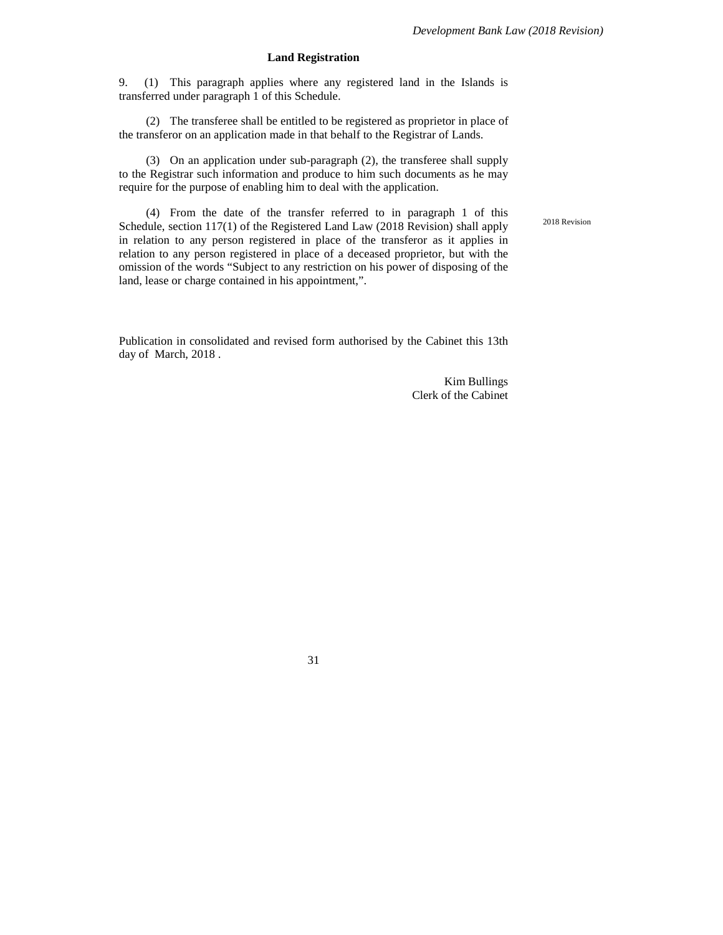2018 Revision

## **Land Registration**

9. (1) This paragraph applies where any registered land in the Islands is transferred under paragraph 1 of this Schedule.

(2) The transferee shall be entitled to be registered as proprietor in place of the transferor on an application made in that behalf to the Registrar of Lands.

(3) On an application under sub-paragraph (2), the transferee shall supply to the Registrar such information and produce to him such documents as he may require for the purpose of enabling him to deal with the application.

(4) From the date of the transfer referred to in paragraph 1 of this Schedule, section 117(1) of the Registered Land Law (2018 Revision) shall apply in relation to any person registered in place of the transferor as it applies in relation to any person registered in place of a deceased proprietor, but with the omission of the words "Subject to any restriction on his power of disposing of the land, lease or charge contained in his appointment,".

Publication in consolidated and revised form authorised by the Cabinet this 13th day of March, 2018 .

> Kim Bullings Clerk of the Cabinet